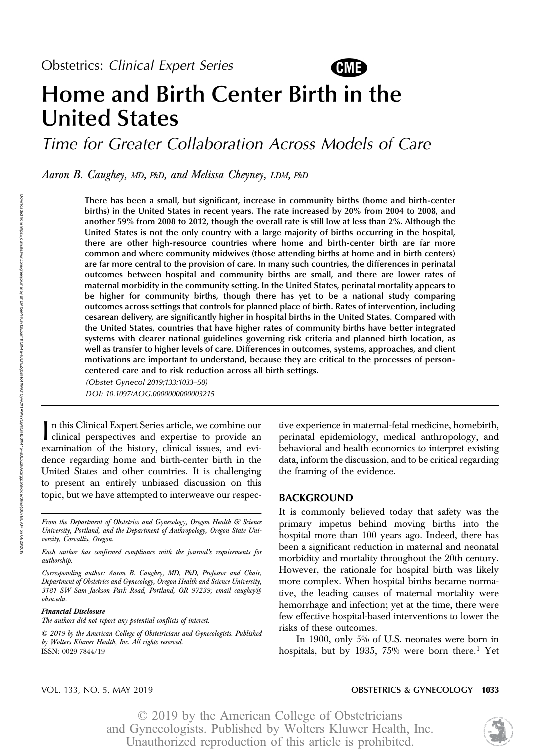

# Home and Birth Center Birth in the United States

Time for Greater Collaboration Across Models of Care

Aaron B. Caughey, MD, PhD, and Melissa Cheyney, LDM, PhD

There has been a small, but significant, increase in community births (home and birth-center births) in the United States in recent years. The rate increased by 20% from 2004 to 2008, and another 59% from 2008 to 2012, though the overall rate is still low at less than 2%. Although the United States is not the only country with a large majority of births occurring in the hospital, there are other high-resource countries where home and birth-center birth are far more common and where community midwives (those attending births at home and in birth centers) are far more central to the provision of care. In many such countries, the differences in perinatal outcomes between hospital and community births are small, and there are lower rates of maternal morbidity in the community setting. In the United States, perinatal mortality appears to be higher for community births, though there has yet to be a national study comparing outcomes across settings that controls for planned place of birth. Rates of intervention, including cesarean delivery, are significantly higher in hospital births in the United States. Compared with the United States, countries that have higher rates of community births have better integrated systems with clearer national guidelines governing risk criteria and planned birth location, as well as transfer to higher levels of care. Differences in outcomes, systems, approaches, and client motivations are important to understand, because they are critical to the processes of personcentered care and to risk reduction across all birth settings.

(Obstet Gynecol 2019;133:1033–50) DOI: 10.1097/AOG.0000000000003215

In this Clinical Expert Series article, we combine our clinical perspectives and expertise to provide an n this Clinical Expert Series article, we combine our examination of the history, clinical issues, and evidence regarding home and birth-center birth in the United States and other countries. It is challenging to present an entirely unbiased discussion on this topic, but we have attempted to interweave our respec-

Corresponding author: Aaron B. Caughey, MD, PhD, Professor and Chair, Department of Obstetrics and Gynecology, Oregon Health and Science University, 3181 SW Sam Jackson Park Road, Portland, OR 97239; email caughey@ ohsu.edu.

Financial Disclosure

The authors did not report any potential conflicts of interest.

tive experience in maternal-fetal medicine, homebirth, perinatal epidemiology, medical anthropology, and behavioral and health economics to interpret existing data, inform the discussion, and to be critical regarding the framing of the evidence.

#### BACKGROUND

It is commonly believed today that safety was the primary impetus behind moving births into the hospital more than 100 years ago. Indeed, there has been a significant reduction in maternal and neonatal morbidity and mortality throughout the 20th century. However, the rationale for hospital birth was likely more complex. When hospital births became normative, the leading causes of maternal mortality were hemorrhage and infection; yet at the time, there were few effective hospital-based interventions to lower the risks of these outcomes.

In 1900, only 5% of U.S. neonates were born in hospitals, but by 1935, 75% were born there.<sup>1</sup> Yet

## VOL. 133, NO. 5, MAY 2019 **CONSTRICT AND SETTLE SETTLE SETTLE SECTLE ASSESS**

From the Department of Obstetrics and Gynecology, Oregon Health & Science University, Portland, and the Department of Anthropology, Oregon State University, Corvallis, Oregon.

Each author has confirmed compliance with the journal's requirements for authorship.

<sup>© 2019</sup> by the American College of Obstetricians and Gynecologists. Published by Wolters Kluwer Health, Inc. All rights reserved. ISSN: 0029-7844/19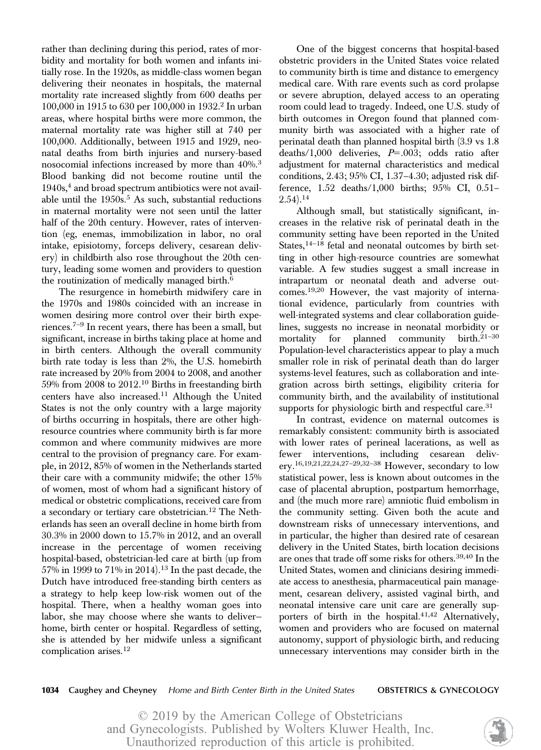rather than declining during this period, rates of morbidity and mortality for both women and infants initially rose. In the 1920s, as middle-class women began delivering their neonates in hospitals, the maternal mortality rate increased slightly from 600 deaths per 100,000 in 1915 to 630 per 100,000 in 1932.2 In urban areas, where hospital births were more common, the maternal mortality rate was higher still at 740 per 100,000. Additionally, between 1915 and 1929, neonatal deaths from birth injuries and nursery-based nosocomial infections increased by more than 40%.<sup>3</sup> Blood banking did not become routine until the  $1940s<sub>1</sub><sup>4</sup>$  and broad spectrum antibiotics were not available until the  $1950s<sup>5</sup>$  As such, substantial reductions in maternal mortality were not seen until the latter half of the 20th century. However, rates of intervention (eg, enemas, immobilization in labor, no oral intake, episiotomy, forceps delivery, cesarean delivery) in childbirth also rose throughout the 20th century, leading some women and providers to question the routinization of medically managed birth.<sup>6</sup>

The resurgence in homebirth midwifery care in the 1970s and 1980s coincided with an increase in women desiring more control over their birth experiences.7–<sup>9</sup> In recent years, there has been a small, but significant, increase in births taking place at home and in birth centers. Although the overall community birth rate today is less than 2%, the U.S. homebirth rate increased by 20% from 2004 to 2008, and another 59% from 2008 to 2012.10 Births in freestanding birth centers have also increased.<sup>11</sup> Although the United States is not the only country with a large majority of births occurring in hospitals, there are other highresource countries where community birth is far more common and where community midwives are more central to the provision of pregnancy care. For example, in 2012, 85% of women in the Netherlands started their care with a community midwife; the other 15% of women, most of whom had a significant history of medical or obstetric complications, received care from a secondary or tertiary care obstetrician.<sup>12</sup> The Netherlands has seen an overall decline in home birth from 30.3% in 2000 down to 15.7% in 2012, and an overall increase in the percentage of women receiving hospital-based, obstetrician-led care at birth (up from 57% in 1999 to 71% in 2014).<sup>13</sup> In the past decade, the Dutch have introduced free-standing birth centers as a strategy to help keep low-risk women out of the hospital. There, when a healthy woman goes into labor, she may choose where she wants to deliver home, birth center or hospital. Regardless of setting, she is attended by her midwife unless a significant complication arises.<sup>12</sup>

One of the biggest concerns that hospital-based obstetric providers in the United States voice related to community birth is time and distance to emergency medical care. With rare events such as cord prolapse or severe abruption, delayed access to an operating room could lead to tragedy. Indeed, one U.S. study of birth outcomes in Oregon found that planned community birth was associated with a higher rate of perinatal death than planned hospital birth (3.9 vs 1.8 deaths/1,000 deliveries,  $P=0.003$ ; odds ratio after adjustment for maternal characteristics and medical conditions, 2.43; 95% CI, 1.37–4.30; adjusted risk difference, 1.52 deaths/1,000 births; 95% CI, 0.51–  $(2.54).^{14}$ 

Although small, but statistically significant, increases in the relative risk of perinatal death in the community setting have been reported in the United States,<sup>14-18</sup> fetal and neonatal outcomes by birth setting in other high-resource countries are somewhat variable. A few studies suggest a small increase in intrapartum or neonatal death and adverse outcomes.19,20 However, the vast majority of international evidence, particularly from countries with well-integrated systems and clear collaboration guidelines, suggests no increase in neonatal morbidity or mortality for planned community birth.21–<sup>30</sup> Population-level characteristics appear to play a much smaller role in risk of perinatal death than do larger systems-level features, such as collaboration and integration across birth settings, eligibility criteria for community birth, and the availability of institutional supports for physiologic birth and respectful care.<sup>31</sup>

In contrast, evidence on maternal outcomes is remarkably consistent: community birth is associated with lower rates of perineal lacerations, as well as fewer interventions, including cesarean delivery.16,19,21,22,24,27–29,32–<sup>38</sup> However, secondary to low statistical power, less is known about outcomes in the case of placental abruption, postpartum hemorrhage, and (the much more rare) amniotic fluid embolism in the community setting. Given both the acute and downstream risks of unnecessary interventions, and in particular, the higher than desired rate of cesarean delivery in the United States, birth location decisions are ones that trade off some risks for others.39,40 In the United States, women and clinicians desiring immediate access to anesthesia, pharmaceutical pain management, cesarean delivery, assisted vaginal birth, and neonatal intensive care unit care are generally supporters of birth in the hospital.<sup>41,42</sup> Alternatively, women and providers who are focused on maternal autonomy, support of physiologic birth, and reducing unnecessary interventions may consider birth in the

1034 Caughey and Cheyney Home and Birth Center Birth in the United States **OBSTETRICS & GYNECOLOGY** 

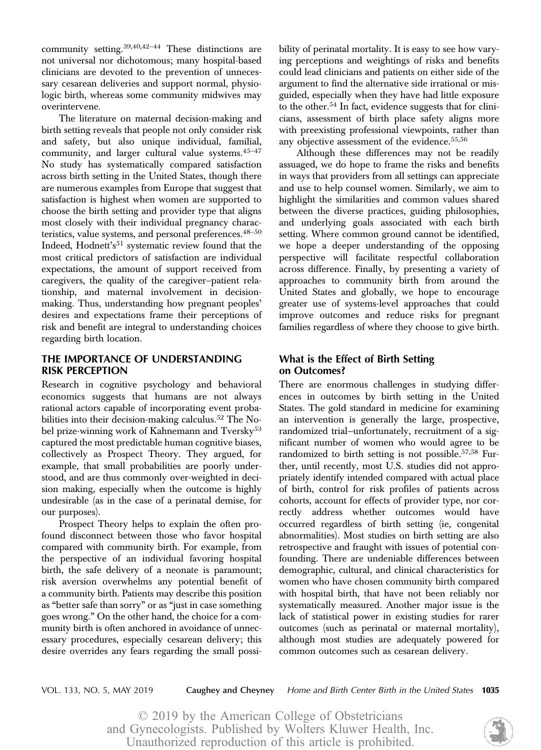community setting.39,40,42–<sup>44</sup> These distinctions are not universal nor dichotomous; many hospital-based clinicians are devoted to the prevention of unnecessary cesarean deliveries and support normal, physiologic birth, whereas some community midwives may overintervene.

The literature on maternal decision-making and birth setting reveals that people not only consider risk and safety, but also unique individual, familial, community, and larger cultural value systems.45–<sup>47</sup> No study has systematically compared satisfaction across birth setting in the United States, though there are numerous examples from Europe that suggest that satisfaction is highest when women are supported to choose the birth setting and provider type that aligns most closely with their individual pregnancy characteristics, value systems, and personal preferences.<sup>48-50</sup> Indeed, Hodnett's<sup>51</sup> systematic review found that the most critical predictors of satisfaction are individual expectations, the amount of support received from caregivers, the quality of the caregiver–patient relationship, and maternal involvement in decisionmaking. Thus, understanding how pregnant peoples' desires and expectations frame their perceptions of risk and benefit are integral to understanding choices regarding birth location.

## THE IMPORTANCE OF UNDERSTANDING RISK PERCEPTION

Research in cognitive psychology and behavioral economics suggests that humans are not always rational actors capable of incorporating event probabilities into their decision-making calculus.<sup>52</sup> The Nobel prize-winning work of Kahnemann and Tversky<sup>53</sup> captured the most predictable human cognitive biases, collectively as Prospect Theory. They argued, for example, that small probabilities are poorly understood, and are thus commonly over-weighted in decision making, especially when the outcome is highly undesirable (as in the case of a perinatal demise, for our purposes).

Prospect Theory helps to explain the often profound disconnect between those who favor hospital compared with community birth. For example, from the perspective of an individual favoring hospital birth, the safe delivery of a neonate is paramount; risk aversion overwhelms any potential benefit of a community birth. Patients may describe this position as "better safe than sorry" or as "just in case something goes wrong." On the other hand, the choice for a community birth is often anchored in avoidance of unnecessary procedures, especially cesarean delivery; this desire overrides any fears regarding the small possibility of perinatal mortality. It is easy to see how varying perceptions and weightings of risks and benefits could lead clinicians and patients on either side of the argument to find the alternative side irrational or misguided, especially when they have had little exposure to the other.<sup>54</sup> In fact, evidence suggests that for clinicians, assessment of birth place safety aligns more with preexisting professional viewpoints, rather than any objective assessment of the evidence.<sup>55,56</sup>

Although these differences may not be readily assuaged, we do hope to frame the risks and benefits in ways that providers from all settings can appreciate and use to help counsel women. Similarly, we aim to highlight the similarities and common values shared between the diverse practices, guiding philosophies, and underlying goals associated with each birth setting. Where common ground cannot be identified, we hope a deeper understanding of the opposing perspective will facilitate respectful collaboration across difference. Finally, by presenting a variety of approaches to community birth from around the United States and globally, we hope to encourage greater use of systems-level approaches that could improve outcomes and reduce risks for pregnant families regardless of where they choose to give birth.

## What is the Effect of Birth Setting on Outcomes?

There are enormous challenges in studying differences in outcomes by birth setting in the United States. The gold standard in medicine for examining an intervention is generally the large, prospective, randomized trial—unfortunately, recruitment of a significant number of women who would agree to be randomized to birth setting is not possible.<sup>57,58</sup> Further, until recently, most U.S. studies did not appropriately identify intended compared with actual place of birth, control for risk profiles of patients across cohorts, account for effects of provider type, nor correctly address whether outcomes would have occurred regardless of birth setting (ie, congenital abnormalities). Most studies on birth setting are also retrospective and fraught with issues of potential confounding. There are undeniable differences between demographic, cultural, and clinical characteristics for women who have chosen community birth compared with hospital birth, that have not been reliably nor systematically measured. Another major issue is the lack of statistical power in existing studies for rarer outcomes (such as perinatal or maternal mortality), although most studies are adequately powered for common outcomes such as cesarean delivery.

VOL. 133, NO. 5, MAY 2019 Caughey and Cheyney Home and Birth Center Birth in the United States 1035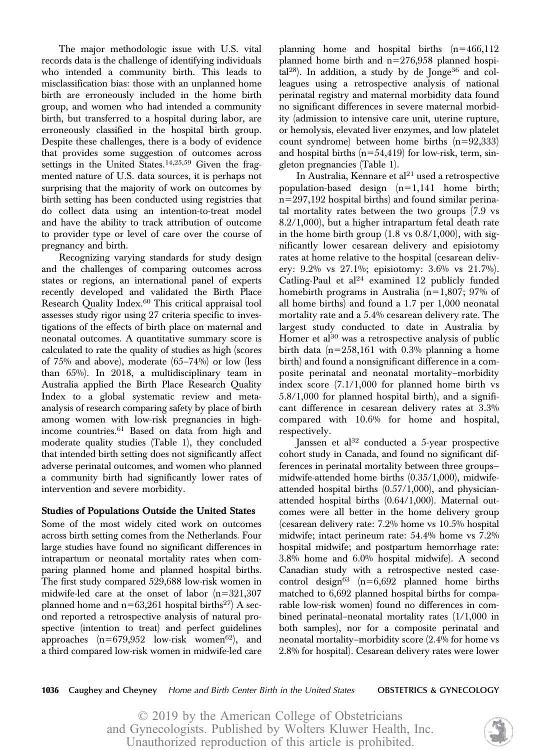The major methodologic issue with U.S. vital records data is the challenge of identifying individuals who intended a community birth. This leads to misclassification bias: those with an unplanned home birth are erroneously included in the home birth group, and women who had intended a community birth, but transferred to a hospital during labor, are erroneously classified in the hospital birth group. Despite these challenges, there is a body of evidence that provides some suggestion of outcomes across settings in the United States. $14,25,59$  Given the fragmented nature of U.S. data sources, it is perhaps not surprising that the majority of work on outcomes by birth setting has been conducted using registries that do collect data using an intention-to-treat model and have the ability to track attribution of outcome to provider type or level of care over the course of pregnancy and birth.

Recognizing varying standards for study design and the challenges of comparing outcomes across states or regions, an international panel of experts recently developed and validated the Birth Place Research Quality Index.<sup>60</sup> This critical appraisal tool assesses study rigor using 27 criteria specific to investigations of the effects of birth place on maternal and neonatal outcomes. A quantitative summary score is calculated to rate the quality of studies as high (scores of 75% and above), moderate (65–74%) or low (less than 65%). In 2018, a multidisciplinary team in Australia applied the Birth Place Research Quality Index to a global systematic review and metaanalysis of research comparing safety by place of birth among women with low-risk pregnancies in highincome countries.<sup>61</sup> Based on data from high and moderate quality studies (Table 1), they concluded that intended birth setting does not significantly affect adverse perinatal outcomes, and women who planned a community birth had significantly lower rates of intervention and severe morbidity.

## Studies of Populations Outside the United States

Some of the most widely cited work on outcomes across birth setting comes from the Netherlands. Four large studies have found no significant differences in intrapartum or neonatal mortality rates when comparing planned home and planned hospital births. The first study compared 529,688 low-risk women in midwife-led care at the onset of labor  $(n=321,307)$ planned home and  $n=63,261$  hospital births<sup>27</sup>) A second reported a retrospective analysis of natural prospective (intention to treat) and perfect guidelines approaches  $(n=679,952$  low-risk women<sup>62</sup>), and a third compared low-risk women in midwife-led care

planning home and hospital births  $(n=466,112)$ planned home birth and  $n=276,958$  planned hospi- $\text{tal}^{28}$ ). In addition, a study by de Jonge<sup>36</sup> and colleagues using a retrospective analysis of national perinatal registry and maternal morbidity data found no significant differences in severe maternal morbidity (admission to intensive care unit, uterine rupture, or hemolysis, elevated liver enzymes, and low platelet count syndrome) between home births  $(n=92,333)$ and hospital births  $(n=54,419)$  for low-risk, term, singleton pregnancies (Table 1).

In Australia, Kennare et al $21$  used a retrospective population-based design  $(n=1,141)$  home birth;  $n=297,192$  hospital births) and found similar perinatal mortality rates between the two groups (7.9 vs 8.2/1,000), but a higher intrapartum fetal death rate in the home birth group (1.8 vs 0.8/1,000), with significantly lower cesarean delivery and episiotomy rates at home relative to the hospital (cesarean delivery: 9.2% vs 27.1%; episiotomy: 3.6% vs 21.7%). Catling-Paul et  $al^{24}$  examined 12 publicly funded homebirth programs in Australia  $(n=1,807; 97\%)$  of all home births) and found a 1.7 per 1,000 neonatal mortality rate and a 5.4% cesarean delivery rate. The largest study conducted to date in Australia by Homer et  $al^{30}$  was a retrospective analysis of public birth data  $(n=258,161$  with 0.3% planning a home birth) and found a nonsignificant difference in a composite perinatal and neonatal mortality–morbidity index score (7.1/1,000 for planned home birth vs 5.8/1,000 for planned hospital birth), and a significant difference in cesarean delivery rates at 3.3% compared with 10.6% for home and hospital, respectively.

Janssen et al<sup>32</sup> conducted a 5-year prospective cohort study in Canada, and found no significant differences in perinatal mortality between three groups midwife-attended home births (0.35/1,000), midwifeattended hospital births (0.57/1,000), and physicianattended hospital births (0.64/1,000). Maternal outcomes were all better in the home delivery group (cesarean delivery rate: 7.2% home vs 10.5% hospital midwife; intact perineum rate: 54.4% home vs 7.2% hospital midwife; and postpartum hemorrhage rate: 3.8% home and 6.0% hospital midwife). A second Canadian study with a retrospective nested casecontrol design<sup>63</sup> (n=6,692 planned home births matched to 6,692 planned hospital births for comparable low-risk women) found no differences in combined perinatal–neonatal mortality rates (1/1,000 in both samples), nor for a composite perinatal and neonatal mortality–morbidity score (2.4% for home vs 2.8% for hospital). Cesarean delivery rates were lower

1036 Caughey and Cheyney Home and Birth Center Birth in the United States **OBSTETRICS & GYNECOLOGY**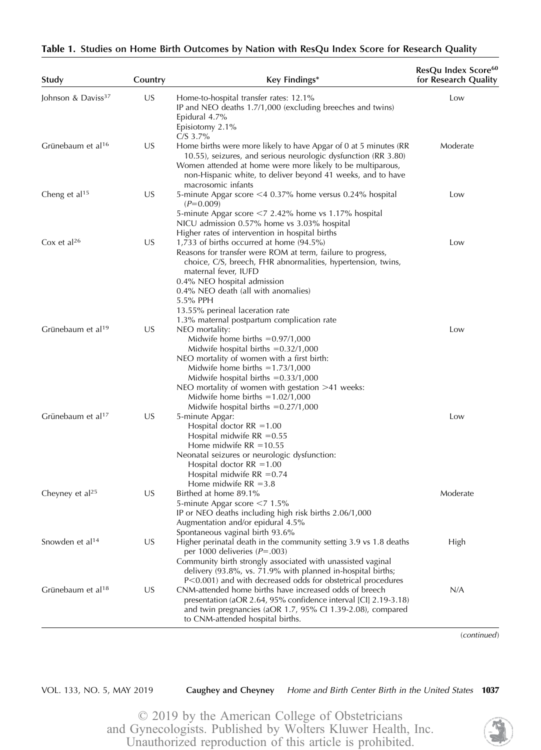| Study                          | Country | Key Findings*                                                                                                                                                                                                                                                                                                                                                              | ResQu Index Score <sup>60</sup><br>for Research Quality |
|--------------------------------|---------|----------------------------------------------------------------------------------------------------------------------------------------------------------------------------------------------------------------------------------------------------------------------------------------------------------------------------------------------------------------------------|---------------------------------------------------------|
| Johnson & Daviss <sup>37</sup> | US      | Home-to-hospital transfer rates: 12.1%<br>IP and NEO deaths 1.7/1,000 (excluding breeches and twins)<br>Epidural 4.7%<br>Episiotomy 2.1%<br>$C/S$ 3.7%                                                                                                                                                                                                                     | Low                                                     |
| Grünebaum et al <sup>16</sup>  | US      | Home births were more likely to have Apgar of 0 at 5 minutes (RR<br>10.55), seizures, and serious neurologic dysfunction (RR 3.80)<br>Women attended at home were more likely to be multiparous,<br>non-Hispanic white, to deliver beyond 41 weeks, and to have<br>macrosomic infants                                                                                      | Moderate                                                |
| Cheng et al <sup>15</sup>      | US      | 5-minute Apgar score <4 0.37% home versus 0.24% hospital<br>$(P=0.009)$<br>5-minute Apgar score <7 2.42% home vs 1.17% hospital<br>NICU admission 0.57% home vs 3.03% hospital                                                                                                                                                                                             | Low                                                     |
| Cox et al <sup>26</sup>        | US      | Higher rates of intervention in hospital births<br>1,733 of births occurred at home $(94.5\%)$<br>Reasons for transfer were ROM at term, failure to progress,<br>choice, C/S, breech, FHR abnormalities, hypertension, twins,<br>maternal fever, IUFD<br>0.4% NEO hospital admission<br>0.4% NEO death (all with anomalies)<br>5.5% PPH<br>13.55% perineal laceration rate | Low                                                     |
| Grünebaum et al <sup>19</sup>  | US      | 1.3% maternal postpartum complication rate<br>NEO mortality:<br>Midwife home births $= 0.97/1,000$<br>Midwife hospital births $= 0.32/1,000$<br>NEO mortality of women with a first birth:<br>Midwife home births $=1.73/1,000$<br>Midwife hospital births $= 0.33/1,000$<br>NEO mortality of women with gestation $>41$ weeks:<br>Midwife home births $=1.02/1,000$       | Low                                                     |
| Grünebaum et al <sup>17</sup>  | US      | Midwife hospital births $= 0.27/1,000$<br>5-minute Apgar:<br>Hospital doctor $RR = 1.00$<br>Hospital midwife $RR = 0.55$<br>Home midwife $RR = 10.55$<br>Neonatal seizures or neurologic dysfunction:<br>Hospital doctor $RR = 1.00$<br>Hospital midwife $RR = 0.74$<br>Home midwife $RR = 3.8$                                                                            | Low                                                     |
| Chevney et $al25$              | US      | Birthed at home 89.1%<br>5-minute Apgar score <7 1.5%<br>IP or NEO deaths including high risk births 2.06/1,000<br>Augmentation and/or epidural 4.5%                                                                                                                                                                                                                       | Moderate                                                |
| Snowden et al <sup>14</sup>    | US      | Spontaneous vaginal birth 93.6%<br>Higher perinatal death in the community setting 3.9 vs 1.8 deaths<br>per 1000 deliveries ( $P = .003$ )<br>Community birth strongly associated with unassisted vaginal<br>delivery $(93.8\%$ , vs. 71.9% with planned in-hospital births;                                                                                               | High                                                    |
| Grünebaum et al <sup>18</sup>  | US      | P<0.001) and with decreased odds for obstetrical procedures<br>CNM-attended home births have increased odds of breech<br>presentation (aOR 2.64, 95% confidence interval [CI] 2.19-3.18)<br>and twin pregnancies (aOR 1.7, 95% CI 1.39-2.08), compared<br>to CNM-attended hospital births.                                                                                 | N/A                                                     |

(continued)

VOL. 133, NO. 5, MAY 2019 Caughey and Cheyney Home and Birth Center Birth in the United States 1037

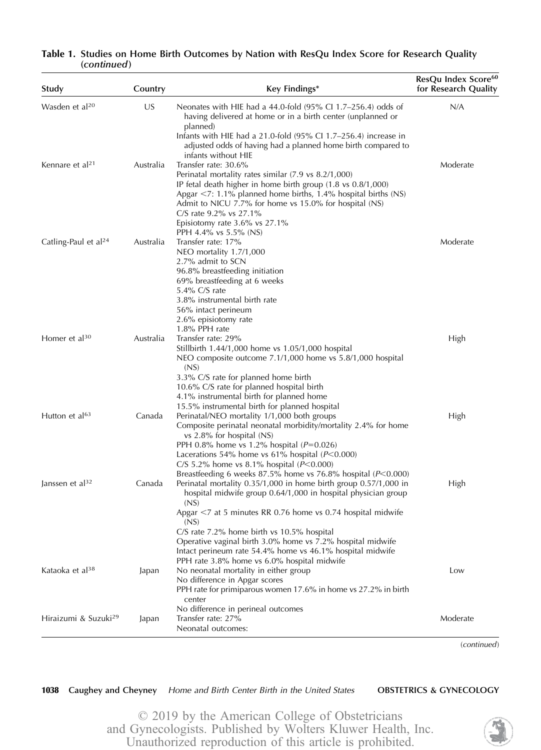| Study                            | Country   | Key Findings*                                                                                                                                                                                                                | ResQu Index Score <sup>60</sup><br>for Research Quality |
|----------------------------------|-----------|------------------------------------------------------------------------------------------------------------------------------------------------------------------------------------------------------------------------------|---------------------------------------------------------|
| Wasden et al <sup>20</sup>       | US        | Neonates with HIE had a 44.0-fold $(95\%$ CI 1.7–256.4) odds of<br>having delivered at home or in a birth center (unplanned or<br>planned)                                                                                   | N/A                                                     |
|                                  |           | Infants with HIE had a 21.0-fold (95% CI 1.7-256.4) increase in<br>adjusted odds of having had a planned home birth compared to<br>infants without HIE                                                                       |                                                         |
| Kennare et al <sup>21</sup>      | Australia | Transfer rate: 30.6%<br>Perinatal mortality rates similar (7.9 vs 8.2/1,000)                                                                                                                                                 | Moderate                                                |
|                                  |           | IP fetal death higher in home birth group (1.8 vs 0.8/1,000)<br>Apgar $\le$ 7: 1.1% planned home births, 1.4% hospital births (NS)<br>Admit to NICU 7.7% for home vs 15.0% for hospital (NS)<br>C/S rate $9.2\%$ vs $27.1\%$ |                                                         |
|                                  |           | Episiotomy rate $3.6\%$ vs $27.1\%$<br>PPH 4.4% vs 5.5% (NS)                                                                                                                                                                 |                                                         |
| Catling-Paul et al <sup>24</sup> | Australia | Transfer rate: 17%<br>NEO mortality 1.7/1,000<br>2.7% admit to SCN                                                                                                                                                           | Moderate                                                |
|                                  |           | 96.8% breastfeeding initiation<br>69% breastfeeding at 6 weeks<br>5.4% C/S rate<br>3.8% instrumental birth rate                                                                                                              |                                                         |
|                                  |           | 56% intact perineum                                                                                                                                                                                                          |                                                         |
|                                  |           | 2.6% episiotomy rate<br>1.8% PPH rate                                                                                                                                                                                        |                                                         |
| Homer et al <sup>30</sup>        | Australia | Transfer rate: 29%<br>Stillbirth 1.44/1,000 home vs 1.05/1,000 hospital<br>NEO composite outcome 7.1/1,000 home vs 5.8/1,000 hospital<br>(NS)                                                                                | High                                                    |
|                                  |           | 3.3% C/S rate for planned home birth<br>10.6% C/S rate for planned hospital birth<br>4.1% instrumental birth for planned home                                                                                                |                                                         |
| Hutton et al <sup>63</sup>       | Canada    | 15.5% instrumental birth for planned hospital<br>Perinatal/NEO mortality 1/1,000 both groups<br>Composite perinatal neonatal morbidity/mortality 2.4% for home<br>vs $2.8\%$ for hospital (NS)                               | High                                                    |
|                                  |           | PPH 0.8% home vs 1.2% hospital ( $P=0.026$ )<br>Lacerations 54% home vs 61% hospital ( $P<0.000$ )<br>C/S 5.2% home vs 8.1% hospital ( $P<0.000$ )                                                                           |                                                         |
| Janssen et al <sup>32</sup>      | Canada    | Breastfeeding 6 weeks 87.5% home vs 76.8% hospital (P<0.000)<br>Perinatal mortality 0.35/1,000 in home birth group 0.57/1,000 in<br>hospital midwife group 0.64/1,000 in hospital physician group<br>(NS)                    | High                                                    |
|                                  |           | Apgar $\leq$ 7 at 5 minutes RR 0.76 home vs 0.74 hospital midwife<br>(NS)<br>C/S rate 7.2% home birth vs 10.5% hospital                                                                                                      |                                                         |
|                                  |           | Operative vaginal birth 3.0% home vs 7.2% hospital midwife<br>Intact perineum rate 54.4% home vs 46.1% hospital midwife<br>PPH rate 3.8% home vs 6.0% hospital midwife                                                       |                                                         |
| Kataoka et al <sup>38</sup>      | Japan     | No neonatal mortality in either group<br>No difference in Apgar scores<br>PPH rate for primiparous women 17.6% in home vs 27.2% in birth                                                                                     | Low                                                     |
|                                  |           | center<br>No difference in perineal outcomes                                                                                                                                                                                 |                                                         |
| Hiraizumi & Suzuki <sup>29</sup> | Japan     | Transfer rate: 27%                                                                                                                                                                                                           | Moderate                                                |
|                                  |           | Neonatal outcomes:                                                                                                                                                                                                           |                                                         |

## Table 1. Studies on Home Birth Outcomes by Nation with ResQu Index Score for Research Quality (continued)

(continued)

1038 Caughey and Cheyney Home and Birth Center Birth in the United States OBSTETRICS & GYNECOLOGY

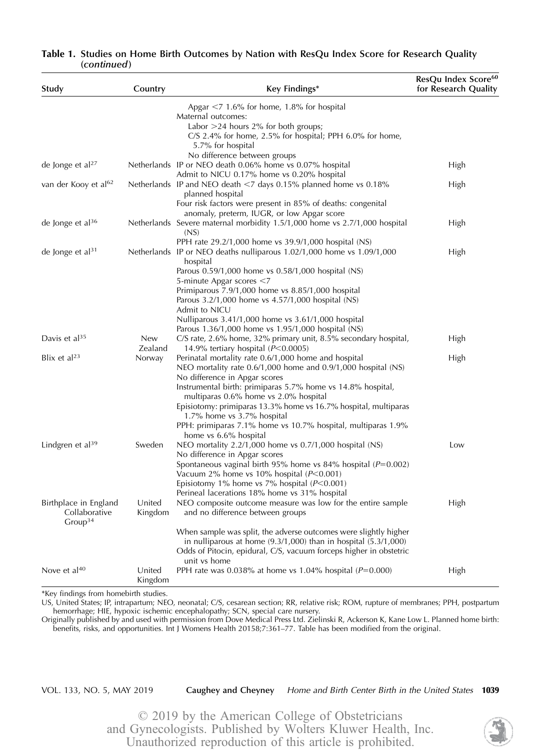| Study                                                         | Country           | Key Findings*                                                                                                         | ResQu Index Score <sup>60</sup><br>for Research Quality |
|---------------------------------------------------------------|-------------------|-----------------------------------------------------------------------------------------------------------------------|---------------------------------------------------------|
|                                                               |                   | Apgar $<$ 7 1.6% for home, 1.8% for hospital                                                                          |                                                         |
|                                                               |                   | Maternal outcomes:                                                                                                    |                                                         |
|                                                               |                   | Labor $>$ 24 hours 2% for both groups;                                                                                |                                                         |
|                                                               |                   | C/S 2.4% for home, 2.5% for hospital; PPH 6.0% for home,<br>5.7% for hospital                                         |                                                         |
|                                                               |                   | No difference between groups                                                                                          |                                                         |
| de Jonge et al $^{27}$                                        |                   | Netherlands IP or NEO death 0.06% home vs 0.07% hospital                                                              | High                                                    |
|                                                               |                   | Admit to NICU 0.17% home vs 0.20% hospital                                                                            |                                                         |
| van der Kooy et al <sup>62</sup>                              |                   | Netherlands IP and NEO death <7 days 0.15% planned home vs 0.18%<br>planned hospital                                  | High                                                    |
|                                                               |                   | Four risk factors were present in 85% of deaths: congenital                                                           |                                                         |
|                                                               |                   | anomaly, preterm, IUGR, or low Apgar score                                                                            |                                                         |
| de Jonge et al <sup>36</sup>                                  |                   | Netherlands Severe maternal morbidity 1.5/1,000 home vs 2.7/1,000 hospital<br>(NS)                                    | High                                                    |
|                                                               |                   | PPH rate 29.2/1,000 home vs 39.9/1,000 hospital (NS)                                                                  |                                                         |
| de Jonge et al $31$                                           |                   | Netherlands IP or NEO deaths nulliparous 1.02/1,000 home vs 1.09/1,000<br>hospital                                    | High                                                    |
|                                                               |                   | Parous 0.59/1,000 home vs 0.58/1,000 hospital (NS)<br>5-minute Apgar scores <7                                        |                                                         |
|                                                               |                   | Primiparous $7.9/1,000$ home vs $8.85/1,000$ hospital                                                                 |                                                         |
|                                                               |                   | Parous 3.2/1,000 home vs 4.57/1,000 hospital (NS)<br>Admit to NICU                                                    |                                                         |
|                                                               |                   | Nulliparous 3.41/1,000 home vs 3.61/1,000 hospital                                                                    |                                                         |
|                                                               |                   | Parous 1.36/1,000 home vs 1.95/1,000 hospital (NS)                                                                    |                                                         |
| Davis et al <sup>35</sup>                                     | New<br>Zealand    | C/S rate, 2.6% home, 32% primary unit, 8.5% secondary hospital,<br>14.9% tertiary hospital $(P<0.0005)$               | High                                                    |
| Blix et al <sup>23</sup>                                      | Norway            | Perinatal mortality rate 0.6/1,000 home and hospital<br>NEO mortality rate 0.6/1,000 home and 0.9/1,000 hospital (NS) | High                                                    |
|                                                               |                   | No difference in Apgar scores                                                                                         |                                                         |
|                                                               |                   | Instrumental birth: primiparas 5.7% home vs 14.8% hospital,<br>multiparas 0.6% home vs 2.0% hospital                  |                                                         |
|                                                               |                   | Episiotomy: primiparas 13.3% home vs 16.7% hospital, multiparas<br>1.7% home vs 3.7% hospital                         |                                                         |
|                                                               |                   | PPH: primiparas 7.1% home vs 10.7% hospital, multiparas 1.9%<br>home vs 6.6% hospital                                 |                                                         |
| Lindgren et al <sup>39</sup>                                  | Sweden            | NEO mortality 2.2/1,000 home vs 0.7/1,000 hospital (NS)                                                               | Low                                                     |
|                                                               |                   | No difference in Apgar scores                                                                                         |                                                         |
|                                                               |                   | Spontaneous vaginal birth 95% home vs 84% hospital ( $P=0.002$ )                                                      |                                                         |
|                                                               |                   | Vacuum 2% home vs 10% hospital $(P<0.001)$                                                                            |                                                         |
|                                                               |                   | Episiotomy 1% home vs 7% hospital $(P<0.001)$                                                                         |                                                         |
|                                                               |                   | Perineal lacerations 18% home vs 31% hospital                                                                         |                                                         |
| Birthplace in England<br>Collaborative<br>Group <sup>34</sup> | United<br>Kingdom | NEO composite outcome measure was low for the entire sample<br>and no difference between groups                       | High                                                    |
|                                                               |                   | When sample was split, the adverse outcomes were slightly higher                                                      |                                                         |
|                                                               |                   | in nulliparous at home $(9.3/1,000)$ than in hospital $(5.3/1,000)$                                                   |                                                         |
|                                                               |                   | Odds of Pitocin, epidural, C/S, vacuum forceps higher in obstetric<br>unit vs home                                    |                                                         |
| Nove et al <sup>40</sup>                                      | United            | PPH rate was 0.038% at home vs 1.04% hospital ( $P=0.000$ )                                                           | High                                                    |
|                                                               | Kingdom           |                                                                                                                       |                                                         |

## Table 1. Studies on Home Birth Outcomes by Nation with ResQu Index Score for Research Quality (continued)

\*Key findings from homebirth studies.

US, United States; IP, intrapartum; NEO, neonatal; C/S, cesarean section; RR, relative risk; ROM, rupture of membranes; PPH, postpartum hemorrhage; HIE, hypoxic ischemic encephalopathy; SCN, special care nursery.

Originally published by and used with permission from Dove Medical Press Ltd. Zielinski R, Ackerson K, Kane Low L. Planned home birth: benefits, risks, and opportunities. Int J Womens Health 20158;7:361–77. Table has been modified from the original.

VOL. 133, NO. 5, MAY 2019 Caughey and Cheyney Home and Birth Center Birth in the United States 1039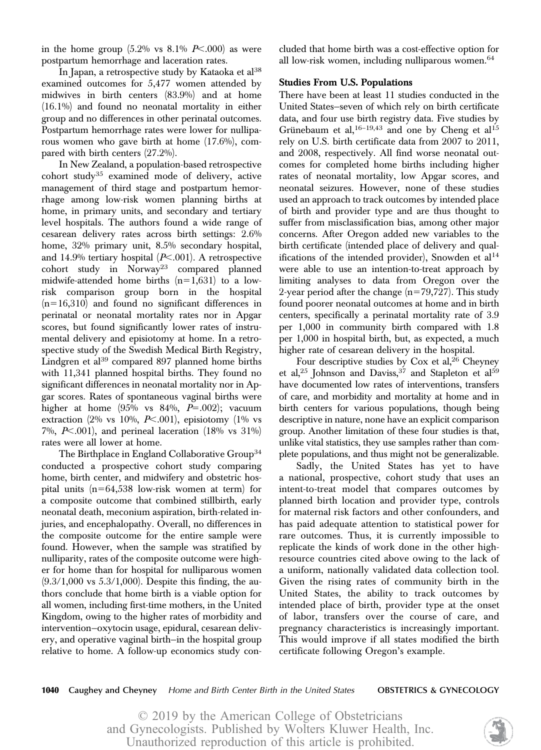in the home group  $(5.2\% \text{ vs } 8.1\% \text{ P} < .000)$  as were postpartum hemorrhage and laceration rates.

In Japan, a retrospective study by Kataoka et  $al^{38}$ examined outcomes for 5,477 women attended by midwives in birth centers (83.9%) and at home (16.1%) and found no neonatal mortality in either group and no differences in other perinatal outcomes. Postpartum hemorrhage rates were lower for nulliparous women who gave birth at home (17.6%), compared with birth centers (27.2%).

In New Zealand, a population-based retrospective cohort study<sup>35</sup> examined mode of delivery, active management of third stage and postpartum hemorrhage among low-risk women planning births at home, in primary units, and secondary and tertiary level hospitals. The authors found a wide range of cesarean delivery rates across birth settings: 2.6% home, 32% primary unit, 8.5% secondary hospital, and 14.9% tertiary hospital  $(P<.001)$ . A retrospective cohort study in Norway<sup>23</sup> compared planned midwife-attended home births  $(n=1,631)$  to a lowrisk comparison group born in the hospital  $(n=16,310)$  and found no significant differences in perinatal or neonatal mortality rates nor in Apgar scores, but found significantly lower rates of instrumental delivery and episiotomy at home. In a retrospective study of the Swedish Medical Birth Registry, Lindgren et al $39$  compared 897 planned home births with 11,341 planned hospital births. They found no significant differences in neonatal mortality nor in Apgar scores. Rates of spontaneous vaginal births were higher at home  $(95\% \text{ vs } 84\%, P=.002)$ ; vacuum extraction (2% vs 10%,  $P<.001$ ), episiotomy (1% vs 7%,  $P<.001$ ), and perineal laceration (18% vs 31%) rates were all lower at home.

The Birthplace in England Collaborative Group<sup>34</sup> conducted a prospective cohort study comparing home, birth center, and midwifery and obstetric hospital units  $(n=64,538$  low-risk women at term) for a composite outcome that combined stillbirth, early neonatal death, meconium aspiration, birth-related injuries, and encephalopathy. Overall, no differences in the composite outcome for the entire sample were found. However, when the sample was stratified by nulliparity, rates of the composite outcome were higher for home than for hospital for nulliparous women  $(9.3/1,000 \text{ vs } 5.3/1,000)$ . Despite this finding, the authors conclude that home birth is a viable option for all women, including first-time mothers, in the United Kingdom, owing to the higher rates of morbidity and intervention—oxytocin usage, epidural, cesarean delivery, and operative vaginal birth—in the hospital group relative to home. A follow-up economics study concluded that home birth was a cost-effective option for all low-risk women, including nulliparous women.<sup>64</sup>

### Studies From U.S. Populations

There have been at least 11 studies conducted in the United States—seven of which rely on birth certificate data, and four use birth registry data. Five studies by Grünebaum et al,  $16-19,43$  and one by Cheng et al<sup>15</sup> rely on U.S. birth certificate data from 2007 to 2011, and 2008, respectively. All find worse neonatal outcomes for completed home births including higher rates of neonatal mortality, low Apgar scores, and neonatal seizures. However, none of these studies used an approach to track outcomes by intended place of birth and provider type and are thus thought to suffer from misclassification bias, among other major concerns. After Oregon added new variables to the birth certificate (intended place of delivery and qualifications of the intended provider), Snowden et  $al<sup>14</sup>$ were able to use an intention-to-treat approach by limiting analyses to data from Oregon over the 2-year period after the change  $(n=79,727)$ . This study found poorer neonatal outcomes at home and in birth centers, specifically a perinatal mortality rate of 3.9 per 1,000 in community birth compared with 1.8 per 1,000 in hospital birth, but, as expected, a much higher rate of cesarean delivery in the hospital.

Four descriptive studies by Cox et al,  $26$  Cheyney et al,<sup>25</sup> Johnson and Daviss,<sup>37</sup> and Stapleton et al<sup>59</sup> have documented low rates of interventions, transfers of care, and morbidity and mortality at home and in birth centers for various populations, though being descriptive in nature, none have an explicit comparison group. Another limitation of these four studies is that, unlike vital statistics, they use samples rather than complete populations, and thus might not be generalizable.

Sadly, the United States has yet to have a national, prospective, cohort study that uses an intent-to-treat model that compares outcomes by planned birth location and provider type, controls for maternal risk factors and other confounders, and has paid adequate attention to statistical power for rare outcomes. Thus, it is currently impossible to replicate the kinds of work done in the other highresource countries cited above owing to the lack of a uniform, nationally validated data collection tool. Given the rising rates of community birth in the United States, the ability to track outcomes by intended place of birth, provider type at the onset of labor, transfers over the course of care, and pregnancy characteristics is increasingly important. This would improve if all states modified the birth certificate following Oregon's example.

1040 Caughey and Cheyney Home and Birth Center Birth in the United States **OBSTETRICS & GYNECOLOGY**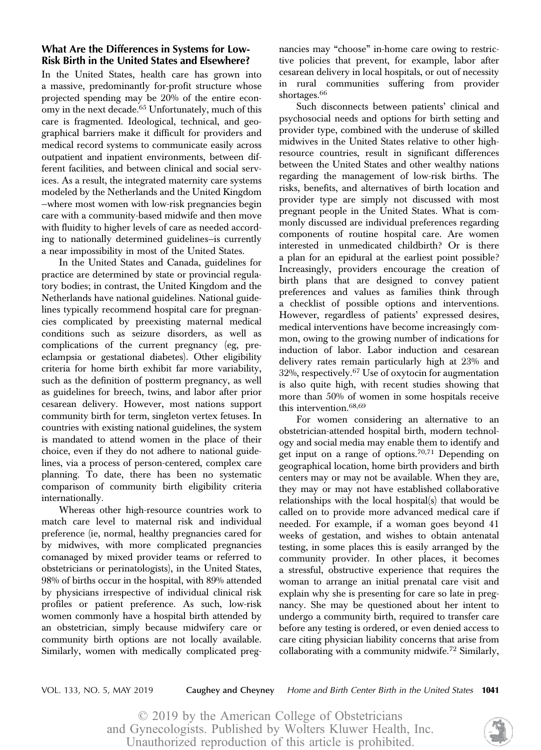## What Are the Differences in Systems for Low-Risk Birth in the United States and Elsewhere?

In the United States, health care has grown into a massive, predominantly for-profit structure whose projected spending may be 20% of the entire economy in the next decade.<sup>65</sup> Unfortunately, much of this care is fragmented. Ideological, technical, and geographical barriers make it difficult for providers and medical record systems to communicate easily across outpatient and inpatient environments, between different facilities, and between clinical and social services. As a result, the integrated maternity care systems modeled by the Netherlands and the United Kingdom —where most women with low-risk pregnancies begin care with a community-based midwife and then move with fluidity to higher levels of care as needed according to nationally determined guidelines—is currently a near impossibility in most of the United States.

In the United States and Canada, guidelines for practice are determined by state or provincial regulatory bodies; in contrast, the United Kingdom and the Netherlands have national guidelines. National guidelines typically recommend hospital care for pregnancies complicated by preexisting maternal medical conditions such as seizure disorders, as well as complications of the current pregnancy (eg, preeclampsia or gestational diabetes). Other eligibility criteria for home birth exhibit far more variability, such as the definition of postterm pregnancy, as well as guidelines for breech, twins, and labor after prior cesarean delivery. However, most nations support community birth for term, singleton vertex fetuses. In countries with existing national guidelines, the system is mandated to attend women in the place of their choice, even if they do not adhere to national guidelines, via a process of person-centered, complex care planning. To date, there has been no systematic comparison of community birth eligibility criteria internationally.

Whereas other high-resource countries work to match care level to maternal risk and individual preference (ie, normal, healthy pregnancies cared for by midwives, with more complicated pregnancies comanaged by mixed provider teams or referred to obstetricians or perinatologists), in the United States, 98% of births occur in the hospital, with 89% attended by physicians irrespective of individual clinical risk profiles or patient preference. As such, low-risk women commonly have a hospital birth attended by an obstetrician, simply because midwifery care or community birth options are not locally available. Similarly, women with medically complicated preg-

nancies may "choose" in-home care owing to restrictive policies that prevent, for example, labor after cesarean delivery in local hospitals, or out of necessity in rural communities suffering from provider shortages.<sup>66</sup>

Such disconnects between patients' clinical and psychosocial needs and options for birth setting and provider type, combined with the underuse of skilled midwives in the United States relative to other highresource countries, result in significant differences between the United States and other wealthy nations regarding the management of low-risk births. The risks, benefits, and alternatives of birth location and provider type are simply not discussed with most pregnant people in the United States. What is commonly discussed are individual preferences regarding components of routine hospital care. Are women interested in unmedicated childbirth? Or is there a plan for an epidural at the earliest point possible? Increasingly, providers encourage the creation of birth plans that are designed to convey patient preferences and values as families think through a checklist of possible options and interventions. However, regardless of patients' expressed desires, medical interventions have become increasingly common, owing to the growing number of indications for induction of labor. Labor induction and cesarean delivery rates remain particularly high at 23% and  $32\%$ , respectively.<sup>67</sup> Use of oxytocin for augmentation is also quite high, with recent studies showing that more than 50% of women in some hospitals receive this intervention.<sup>68,69</sup>

For women considering an alternative to an obstetrician-attended hospital birth, modern technology and social media may enable them to identify and get input on a range of options.<sup>70,71</sup> Depending on geographical location, home birth providers and birth centers may or may not be available. When they are, they may or may not have established collaborative relationships with the local hospital(s) that would be called on to provide more advanced medical care if needed. For example, if a woman goes beyond 41 weeks of gestation, and wishes to obtain antenatal testing, in some places this is easily arranged by the community provider. In other places, it becomes a stressful, obstructive experience that requires the woman to arrange an initial prenatal care visit and explain why she is presenting for care so late in pregnancy. She may be questioned about her intent to undergo a community birth, required to transfer care before any testing is ordered, or even denied access to care citing physician liability concerns that arise from collaborating with a community midwife.<sup>72</sup> Similarly,

VOL. 133, NO. 5, MAY 2019 **Caughey and Cheyney** Home and Birth Center Birth in the United States **1041**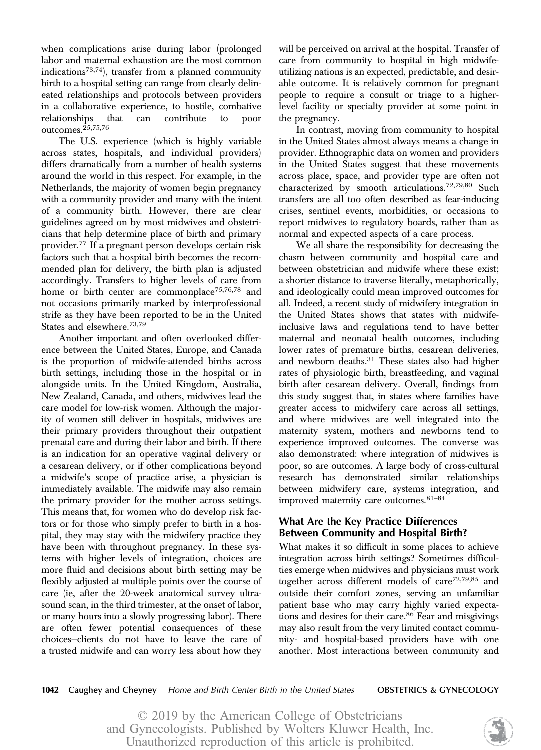when complications arise during labor (prolonged labor and maternal exhaustion are the most common indications<sup>73,74</sup>), transfer from a planned community birth to a hospital setting can range from clearly delineated relationships and protocols between providers in a collaborative experience, to hostile, combative relationships that can contribute to poor outcomes.25,75,76

The U.S. experience (which is highly variable across states, hospitals, and individual providers) differs dramatically from a number of health systems around the world in this respect. For example, in the Netherlands, the majority of women begin pregnancy with a community provider and many with the intent of a community birth. However, there are clear guidelines agreed on by most midwives and obstetricians that help determine place of birth and primary provider.<sup>77</sup> If a pregnant person develops certain risk factors such that a hospital birth becomes the recommended plan for delivery, the birth plan is adjusted accordingly. Transfers to higher levels of care from home or birth center are commonplace<sup>75,76,78</sup> and not occasions primarily marked by interprofessional strife as they have been reported to be in the United States and elsewhere.73,79

Another important and often overlooked difference between the United States, Europe, and Canada is the proportion of midwife-attended births across birth settings, including those in the hospital or in alongside units. In the United Kingdom, Australia, New Zealand, Canada, and others, midwives lead the care model for low-risk women. Although the majority of women still deliver in hospitals, midwives are their primary providers throughout their outpatient prenatal care and during their labor and birth. If there is an indication for an operative vaginal delivery or a cesarean delivery, or if other complications beyond a midwife's scope of practice arise, a physician is immediately available. The midwife may also remain the primary provider for the mother across settings. This means that, for women who do develop risk factors or for those who simply prefer to birth in a hospital, they may stay with the midwifery practice they have been with throughout pregnancy. In these systems with higher levels of integration, choices are more fluid and decisions about birth setting may be flexibly adjusted at multiple points over the course of care (ie, after the 20-week anatomical survey ultrasound scan, in the third trimester, at the onset of labor, or many hours into a slowly progressing labor). There are often fewer potential consequences of these choices—clients do not have to leave the care of a trusted midwife and can worry less about how they

will be perceived on arrival at the hospital. Transfer of care from community to hospital in high midwifeutilizing nations is an expected, predictable, and desirable outcome. It is relatively common for pregnant people to require a consult or triage to a higherlevel facility or specialty provider at some point in the pregnancy.

In contrast, moving from community to hospital in the United States almost always means a change in provider. Ethnographic data on women and providers in the United States suggest that these movements across place, space, and provider type are often not characterized by smooth articulations.72,79,80 Such transfers are all too often described as fear-inducing crises, sentinel events, morbidities, or occasions to report midwives to regulatory boards, rather than as normal and expected aspects of a care process.

We all share the responsibility for decreasing the chasm between community and hospital care and between obstetrician and midwife where these exist; a shorter distance to traverse literally, metaphorically, and ideologically could mean improved outcomes for all. Indeed, a recent study of midwifery integration in the United States shows that states with midwifeinclusive laws and regulations tend to have better maternal and neonatal health outcomes, including lower rates of premature births, cesarean deliveries, and newborn deaths.<sup>31</sup> These states also had higher rates of physiologic birth, breastfeeding, and vaginal birth after cesarean delivery. Overall, findings from this study suggest that, in states where families have greater access to midwifery care across all settings, and where midwives are well integrated into the maternity system, mothers and newborns tend to experience improved outcomes. The converse was also demonstrated: where integration of midwives is poor, so are outcomes. A large body of cross-cultural research has demonstrated similar relationships between midwifery care, systems integration, and improved maternity care outcomes. 81-84

## What Are the Key Practice Differences Between Community and Hospital Birth?

What makes it so difficult in some places to achieve integration across birth settings? Sometimes difficulties emerge when midwives and physicians must work together across different models of care<sup>72,79,85</sup> and outside their comfort zones, serving an unfamiliar patient base who may carry highly varied expectations and desires for their care.<sup>86</sup> Fear and misgivings may also result from the very limited contact community- and hospital-based providers have with one another. Most interactions between community and

1042 Caughey and Cheyney Home and Birth Center Birth in the United States **OBSTETRICS & GYNECOLOGY**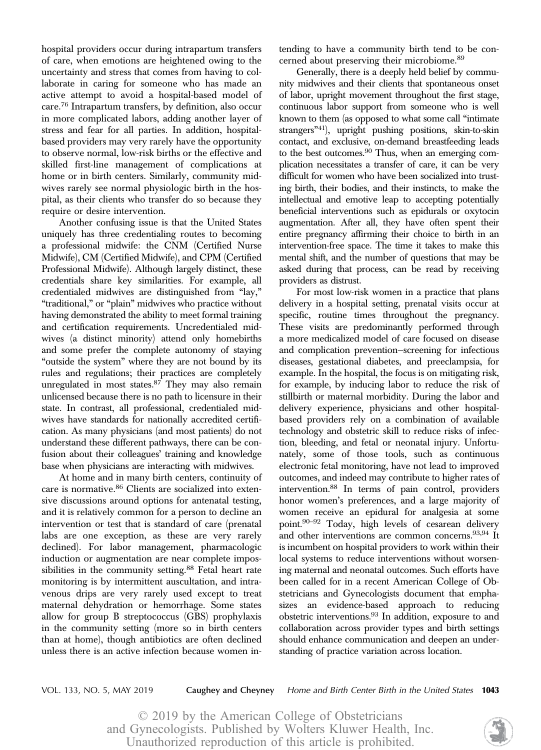hospital providers occur during intrapartum transfers of care, when emotions are heightened owing to the uncertainty and stress that comes from having to collaborate in caring for someone who has made an active attempt to avoid a hospital-based model of care.76 Intrapartum transfers, by definition, also occur in more complicated labors, adding another layer of stress and fear for all parties. In addition, hospitalbased providers may very rarely have the opportunity to observe normal, low-risk births or the effective and skilled first-line management of complications at home or in birth centers. Similarly, community midwives rarely see normal physiologic birth in the hospital, as their clients who transfer do so because they require or desire intervention.

Another confusing issue is that the United States uniquely has three credentialing routes to becoming a professional midwife: the CNM (Certified Nurse Midwife), CM (Certified Midwife), and CPM (Certified Professional Midwife). Although largely distinct, these credentials share key similarities. For example, all credentialed midwives are distinguished from "lay," "traditional," or "plain" midwives who practice without having demonstrated the ability to meet formal training and certification requirements. Uncredentialed midwives (a distinct minority) attend only homebirths and some prefer the complete autonomy of staying "outside the system" where they are not bound by its rules and regulations; their practices are completely unregulated in most states.<sup>87</sup> They may also remain unlicensed because there is no path to licensure in their state. In contrast, all professional, credentialed midwives have standards for nationally accredited certification. As many physicians (and most patients) do not understand these different pathways, there can be confusion about their colleagues' training and knowledge base when physicians are interacting with midwives.

At home and in many birth centers, continuity of care is normative.<sup>86</sup> Clients are socialized into extensive discussions around options for antenatal testing, and it is relatively common for a person to decline an intervention or test that is standard of care (prenatal labs are one exception, as these are very rarely declined). For labor management, pharmacologic induction or augmentation are near complete impossibilities in the community setting.<sup>88</sup> Fetal heart rate monitoring is by intermittent auscultation, and intravenous drips are very rarely used except to treat maternal dehydration or hemorrhage. Some states allow for group B streptococcus (GBS) prophylaxis in the community setting (more so in birth centers than at home), though antibiotics are often declined unless there is an active infection because women intending to have a community birth tend to be concerned about preserving their microbiome.89

Generally, there is a deeply held belief by community midwives and their clients that spontaneous onset of labor, upright movement throughout the first stage, continuous labor support from someone who is well known to them (as opposed to what some call "intimate strangers"41), upright pushing positions, skin-to-skin contact, and exclusive, on-demand breastfeeding leads to the best outcomes.<sup>90</sup> Thus, when an emerging complication necessitates a transfer of care, it can be very difficult for women who have been socialized into trusting birth, their bodies, and their instincts, to make the intellectual and emotive leap to accepting potentially beneficial interventions such as epidurals or oxytocin augmentation. After all, they have often spent their entire pregnancy affirming their choice to birth in an intervention-free space. The time it takes to make this mental shift, and the number of questions that may be asked during that process, can be read by receiving providers as distrust.

For most low-risk women in a practice that plans delivery in a hospital setting, prenatal visits occur at specific, routine times throughout the pregnancy. These visits are predominantly performed through a more medicalized model of care focused on disease and complication prevention—screening for infectious diseases, gestational diabetes, and preeclampsia, for example. In the hospital, the focus is on mitigating risk, for example, by inducing labor to reduce the risk of stillbirth or maternal morbidity. During the labor and delivery experience, physicians and other hospitalbased providers rely on a combination of available technology and obstetric skill to reduce risks of infection, bleeding, and fetal or neonatal injury. Unfortunately, some of those tools, such as continuous electronic fetal monitoring, have not lead to improved outcomes, and indeed may contribute to higher rates of intervention.88 In terms of pain control, providers honor women's preferences, and a large majority of women receive an epidural for analgesia at some point.90–<sup>92</sup> Today, high levels of cesarean delivery and other interventions are common concerns.93,94 It is incumbent on hospital providers to work within their local systems to reduce interventions without worsening maternal and neonatal outcomes. Such efforts have been called for in a recent American College of Obstetricians and Gynecologists document that emphasizes an evidence-based approach to reducing obstetric interventions.93 In addition, exposure to and collaboration across provider types and birth settings should enhance communication and deepen an understanding of practice variation across location.

VOL. 133, NO. 5, MAY 2019 **Caughey and Cheyney** Home and Birth Center Birth in the United States **1043** 

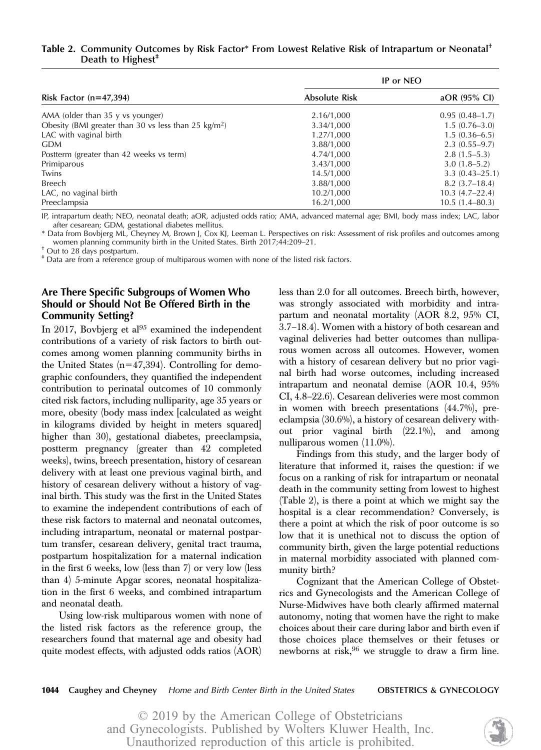## Table 2. Community Outcomes by Risk Factor\* From Lowest Relative Risk of Intrapartum or Neonatal<sup>†</sup> Death to Highest $<sup>+</sup>$ </sup>

|                                                                | IP or NEO            |                    |  |
|----------------------------------------------------------------|----------------------|--------------------|--|
| Risk Factor $(n=47,394)$                                       | <b>Absolute Risk</b> | aOR (95% CI)       |  |
| AMA (older than 35 y vs younger)                               | 2.16/1,000           | $0.95(0.48-1.7)$   |  |
| Obesity (BMI greater than 30 vs less than 25 $\text{kg/m}^2$ ) | 3.34/1,000           | $1.5(0.76-3.0)$    |  |
| LAC with vaginal birth                                         | 1.27/1,000           | $1.5(0.36 - 6.5)$  |  |
| <b>GDM</b>                                                     | 3.88/1,000           | $2.3(0.55-9.7)$    |  |
| Postterm (greater than 42 weeks vs term)                       | 4.74/1,000           | $2.8(1.5-5.3)$     |  |
| Primiparous                                                    | 3.43/1,000           | $3.0(1.8-5.2)$     |  |
| Twins                                                          | 14.5/1,000           | $3.3(0.43 - 25.1)$ |  |
| Breech                                                         | 3.88/1,000           | $8.2(3.7-18.4)$    |  |
| LAC, no vaginal birth                                          | 10.2/1,000           | $10.3(4.7-22.4)$   |  |
| Preeclampsia                                                   | 16.2/1,000           | $10.5(1.4 - 80.3)$ |  |

IP, intrapartum death; NEO, neonatal death; aOR, adjusted odds ratio; AMA, advanced maternal age; BMI, body mass index; LAC, labor after cesarean; GDM, gestational diabetes mellitus.

\* Data from Bovbjerg ML, Cheyney M, Brown J, Cox KJ, Leeman L. Perspectives on risk: Assessment of risk profiles and outcomes among women planning community birth in the United States. Birth 2017;44:209–21. † Out to 28 days postpartum.

‡ Data are from a reference group of multiparous women with none of the listed risk factors.

## Are There Specific Subgroups of Women Who Should or Should Not Be Offered Birth in the Community Setting?

In 2017, Bovbjerg et al $95$  examined the independent contributions of a variety of risk factors to birth outcomes among women planning community births in the United States  $(n=47,394)$ . Controlling for demographic confounders, they quantified the independent contribution to perinatal outcomes of 10 commonly cited risk factors, including nulliparity, age 35 years or more, obesity (body mass index [calculated as weight in kilograms divided by height in meters squared] higher than 30), gestational diabetes, preeclampsia, postterm pregnancy (greater than 42 completed weeks), twins, breech presentation, history of cesarean delivery with at least one previous vaginal birth, and history of cesarean delivery without a history of vaginal birth. This study was the first in the United States to examine the independent contributions of each of these risk factors to maternal and neonatal outcomes, including intrapartum, neonatal or maternal postpartum transfer, cesarean delivery, genital tract trauma, postpartum hospitalization for a maternal indication in the first 6 weeks, low (less than 7) or very low (less than 4) 5-minute Apgar scores, neonatal hospitalization in the first 6 weeks, and combined intrapartum and neonatal death.

Using low-risk multiparous women with none of the listed risk factors as the reference group, the researchers found that maternal age and obesity had quite modest effects, with adjusted odds ratios (AOR)

less than 2.0 for all outcomes. Breech birth, however, was strongly associated with morbidity and intrapartum and neonatal mortality (AOR 8.2, 95% CI, 3.7–18.4). Women with a history of both cesarean and vaginal deliveries had better outcomes than nulliparous women across all outcomes. However, women with a history of cesarean delivery but no prior vaginal birth had worse outcomes, including increased intrapartum and neonatal demise (AOR 10.4, 95% CI, 4.8–22.6). Cesarean deliveries were most common in women with breech presentations (44.7%), preeclampsia (30.6%), a history of cesarean delivery without prior vaginal birth (22.1%), and among nulliparous women (11.0%).

Findings from this study, and the larger body of literature that informed it, raises the question: if we focus on a ranking of risk for intrapartum or neonatal death in the community setting from lowest to highest (Table 2), is there a point at which we might say the hospital is a clear recommendation? Conversely, is there a point at which the risk of poor outcome is so low that it is unethical not to discuss the option of community birth, given the large potential reductions in maternal morbidity associated with planned community birth?

Cognizant that the American College of Obstetrics and Gynecologists and the American College of Nurse-Midwives have both clearly affirmed maternal autonomy, noting that women have the right to make choices about their care during labor and birth even if those choices place themselves or their fetuses or newborns at risk,  $96$  we struggle to draw a firm line.

1044 Caughey and Cheyney Home and Birth Center Birth in the United States **OBSTETRICS & GYNECOLOGY** 

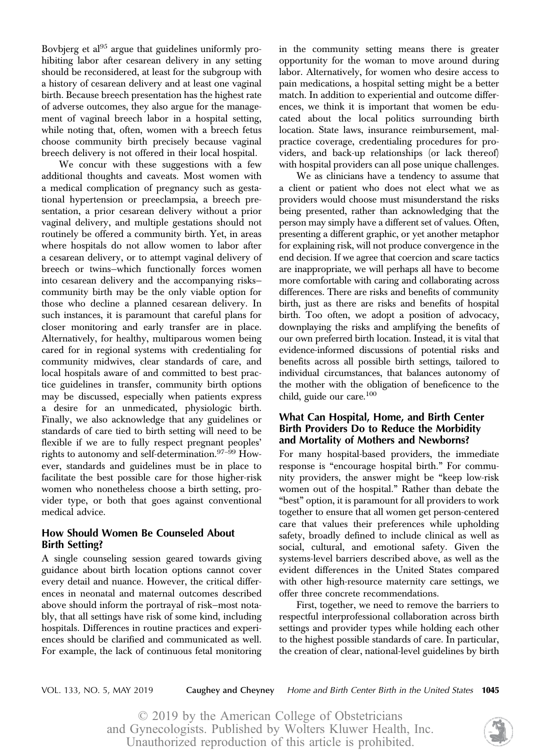Bovbjerg et al<sup>95</sup> argue that guidelines uniformly prohibiting labor after cesarean delivery in any setting should be reconsidered, at least for the subgroup with a history of cesarean delivery and at least one vaginal birth. Because breech presentation has the highest rate of adverse outcomes, they also argue for the management of vaginal breech labor in a hospital setting, while noting that, often, women with a breech fetus choose community birth precisely because vaginal breech delivery is not offered in their local hospital.

We concur with these suggestions with a few additional thoughts and caveats. Most women with a medical complication of pregnancy such as gestational hypertension or preeclampsia, a breech presentation, a prior cesarean delivery without a prior vaginal delivery, and multiple gestations should not routinely be offered a community birth. Yet, in areas where hospitals do not allow women to labor after a cesarean delivery, or to attempt vaginal delivery of breech or twins—which functionally forces women into cesarean delivery and the accompanying risks community birth may be the only viable option for those who decline a planned cesarean delivery. In such instances, it is paramount that careful plans for closer monitoring and early transfer are in place. Alternatively, for healthy, multiparous women being cared for in regional systems with credentialing for community midwives, clear standards of care, and local hospitals aware of and committed to best practice guidelines in transfer, community birth options may be discussed, especially when patients express a desire for an unmedicated, physiologic birth. Finally, we also acknowledge that any guidelines or standards of care tied to birth setting will need to be flexible if we are to fully respect pregnant peoples' rights to autonomy and self-determination.<sup>97-99</sup> However, standards and guidelines must be in place to facilitate the best possible care for those higher-risk women who nonetheless choose a birth setting, provider type, or both that goes against conventional medical advice.

## How Should Women Be Counseled About Birth Setting?

A single counseling session geared towards giving guidance about birth location options cannot cover every detail and nuance. However, the critical differences in neonatal and maternal outcomes described above should inform the portrayal of risk—most notably, that all settings have risk of some kind, including hospitals. Differences in routine practices and experiences should be clarified and communicated as well. For example, the lack of continuous fetal monitoring in the community setting means there is greater opportunity for the woman to move around during labor. Alternatively, for women who desire access to pain medications, a hospital setting might be a better match. In addition to experiential and outcome differences, we think it is important that women be educated about the local politics surrounding birth location. State laws, insurance reimbursement, malpractice coverage, credentialing procedures for providers, and back-up relationships (or lack thereof) with hospital providers can all pose unique challenges.

We as clinicians have a tendency to assume that a client or patient who does not elect what we as providers would choose must misunderstand the risks being presented, rather than acknowledging that the person may simply have a different set of values. Often, presenting a different graphic, or yet another metaphor for explaining risk, will not produce convergence in the end decision. If we agree that coercion and scare tactics are inappropriate, we will perhaps all have to become more comfortable with caring and collaborating across differences. There are risks and benefits of community birth, just as there are risks and benefits of hospital birth. Too often, we adopt a position of advocacy, downplaying the risks and amplifying the benefits of our own preferred birth location. Instead, it is vital that evidence-informed discussions of potential risks and benefits across all possible birth settings, tailored to individual circumstances, that balances autonomy of the mother with the obligation of beneficence to the child, guide our care.100

## What Can Hospital, Home, and Birth Center Birth Providers Do to Reduce the Morbidity and Mortality of Mothers and Newborns?

For many hospital-based providers, the immediate response is "encourage hospital birth." For community providers, the answer might be "keep low-risk women out of the hospital." Rather than debate the "best" option, it is paramount for all providers to work together to ensure that all women get person-centered care that values their preferences while upholding safety, broadly defined to include clinical as well as social, cultural, and emotional safety. Given the systems-level barriers described above, as well as the evident differences in the United States compared with other high-resource maternity care settings, we offer three concrete recommendations.

First, together, we need to remove the barriers to respectful interprofessional collaboration across birth settings and provider types while holding each other to the highest possible standards of care. In particular, the creation of clear, national-level guidelines by birth

VOL. 133, NO. 5, MAY 2019 **Caughey and Cheyney** Home and Birth Center Birth in the United States **1045** 

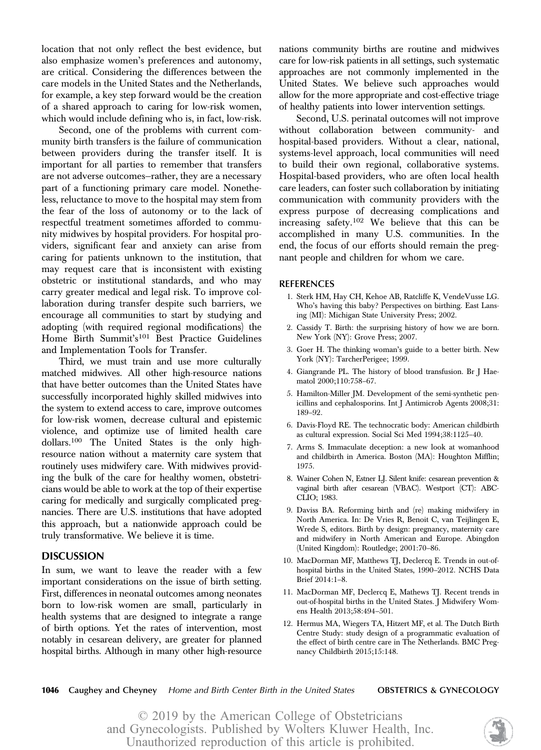location that not only reflect the best evidence, but also emphasize women's preferences and autonomy, are critical. Considering the differences between the care models in the United States and the Netherlands, for example, a key step forward would be the creation of a shared approach to caring for low-risk women, which would include defining who is, in fact, low-risk.

Second, one of the problems with current community birth transfers is the failure of communication between providers during the transfer itself. It is important for all parties to remember that transfers are not adverse outcomes—rather, they are a necessary part of a functioning primary care model. Nonetheless, reluctance to move to the hospital may stem from the fear of the loss of autonomy or to the lack of respectful treatment sometimes afforded to community midwives by hospital providers. For hospital providers, significant fear and anxiety can arise from caring for patients unknown to the institution, that may request care that is inconsistent with existing obstetric or institutional standards, and who may carry greater medical and legal risk. To improve collaboration during transfer despite such barriers, we encourage all communities to start by studying and adopting (with required regional modifications) the Home Birth Summit's<sup>101</sup> Best Practice Guidelines and Implementation Tools for Transfer.

Third, we must train and use more culturally matched midwives. All other high-resource nations that have better outcomes than the United States have successfully incorporated highly skilled midwives into the system to extend access to care, improve outcomes for low-risk women, decrease cultural and epistemic violence, and optimize use of limited health care dollars.100 The United States is the only highresource nation without a maternity care system that routinely uses midwifery care. With midwives providing the bulk of the care for healthy women, obstetricians would be able to work at the top of their expertise caring for medically and surgically complicated pregnancies. There are U.S. institutions that have adopted this approach, but a nationwide approach could be truly transformative. We believe it is time.

#### **DISCUSSION**

In sum, we want to leave the reader with a few important considerations on the issue of birth setting. First, differences in neonatal outcomes among neonates born to low-risk women are small, particularly in health systems that are designed to integrate a range of birth options. Yet the rates of intervention, most notably in cesarean delivery, are greater for planned hospital births. Although in many other high-resource nations community births are routine and midwives care for low-risk patients in all settings, such systematic approaches are not commonly implemented in the United States. We believe such approaches would allow for the more appropriate and cost-effective triage of healthy patients into lower intervention settings.

Second, U.S. perinatal outcomes will not improve without collaboration between community- and hospital-based providers. Without a clear, national, systems-level approach, local communities will need to build their own regional, collaborative systems. Hospital-based providers, who are often local health care leaders, can foster such collaboration by initiating communication with community providers with the express purpose of decreasing complications and increasing safety.<sup>102</sup> We believe that this can be accomplished in many U.S. communities. In the end, the focus of our efforts should remain the pregnant people and children for whom we care.

#### REFERENCES

- 1. Sterk HM, Hay CH, Kehoe AB, Ratcliffe K, VendeVusse LG. Who's having this baby? Perspectives on birthing. East Lansing (MI): Michigan State University Press; 2002.
- 2. Cassidy T. Birth: the surprising history of how we are born. New York (NY): Grove Press; 2007.
- 3. Goer H. The thinking woman's guide to a better birth. New York (NY): TarcherPerigee; 1999.
- 4. Giangrande PL. The history of blood transfusion. Br J Haematol 2000;110:758–67.
- 5. Hamilton-Miller JM. Development of the semi-synthetic penicillins and cephalosporins. Int J Antimicrob Agents 2008;31: 189–92.
- 6. Davis-Floyd RE. The technocratic body: American childbirth as cultural expression. Social Sci Med 1994;38:1125–40.
- 7. Arms S. Immaculate deception: a new look at womanhood and childbirth in America. Boston (MA): Houghton Mifflin; 1975.
- 8. Wainer Cohen N, Estner LJ. Silent knife: cesarean prevention & vaginal birth after cesarean (VBAC). Westport (CT): ABC-CLIO; 1983.
- 9. Daviss BA. Reforming birth and (re) making midwifery in North America. In: De Vries R, Benoit C, van Teijlingen E, Wrede S, editors. Birth by design: pregnancy, maternity care and midwifery in North American and Europe. Abingdon (United Kingdom): Routledge; 2001:70–86.
- 10. MacDorman MF, Matthews TJ, Declercq E. Trends in out-ofhospital births in the United States, 1990–2012. NCHS Data Brief 2014:1–8.
- 11. MacDorman MF, Declercq E, Mathews TJ. Recent trends in out-of-hospital births in the United States. J Midwifery Womens Health 2013;58:494–501.
- 12. Hermus MA, Wiegers TA, Hitzert MF, et al. The Dutch Birth Centre Study: study design of a programmatic evaluation of the effect of birth centre care in The Netherlands. BMC Pregnancy Childbirth 2015;15:148.

1046 Caughey and Cheyney Home and Birth Center Birth in the United States **OBSTETRICS & GYNECOLOGY** 

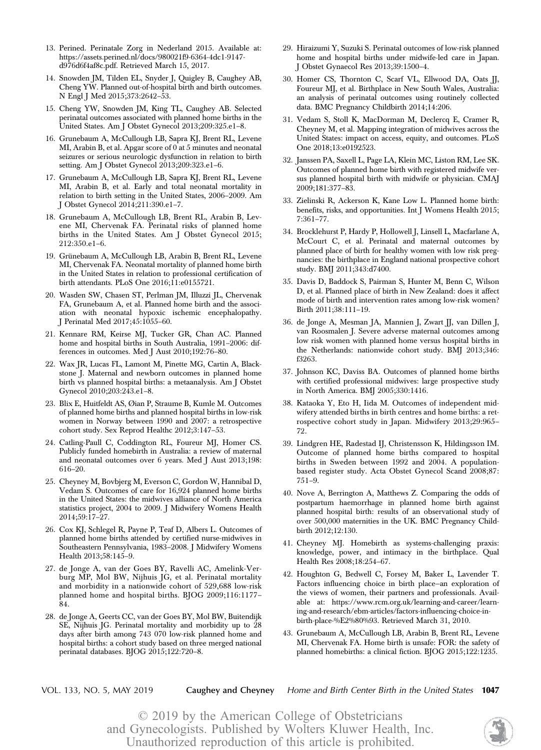- 13. Perined. Perinatale Zorg in Nederland 2015. Available at: [https://assets.perined.nl/docs/980021f9-6364-4dc1-9147](https://assets.perined.nl/docs/980021f9-6364-4dc1-9147-d976d6f4af8c.pdf) [d976d6f4af8c.pdf.](https://assets.perined.nl/docs/980021f9-6364-4dc1-9147-d976d6f4af8c.pdf) Retrieved March 15, 2017.
- 14. Snowden JM, Tilden EL, Snyder J, Quigley B, Caughey AB, Cheng YW. Planned out-of-hospital birth and birth outcomes. N Engl J Med 2015;373:2642–53.
- 15. Cheng YW, Snowden JM, King TL, Caughey AB. Selected perinatal outcomes associated with planned home births in the United States. Am J Obstet Gynecol 2013;209:325.e1–8.
- 16. Grunebaum A, McCullough LB, Sapra KJ, Brent RL, Levene MI, Arabin B, et al. Apgar score of  $0$  at  $5$  minutes and neonatal  $\,$ seizures or serious neurologic dysfunction in relation to birth setting. Am J Obstet Gynecol 2013;209:323.e1–6.
- 17. Grunebaum A, McCullough LB, Sapra KJ, Brent RL, Levene MI, Arabin B, et al. Early and total neonatal mortality in relation to birth setting in the United States, 2006–2009. Am J Obstet Gynecol 2014;211:390.e1–7.
- 18. Grunebaum A, McCullough LB, Brent RL, Arabin B, Levene MI, Chervenak FA. Perinatal risks of planned home births in the United States. Am J Obstet Gynecol 2015; 212:350.e1–6.
- 19. Grünebaum A, McCullough LB, Arabin B, Brent RL, Levene MI, Chervenak FA. Neonatal mortality of planned home birth in the United States in relation to professional certification of birth attendants. PLoS One 2016;11:e0155721.
- 20. Wasden SW, Chasen ST, Perlman JM, Illuzzi JL, Chervenak FA, Grunebaum A, et al. Planned home birth and the association with neonatal hypoxic ischemic encephalopathy. J Perinatal Med 2017;45:1055–60.
- 21. Kennare RM, Keirse MJ, Tucker GR, Chan AC. Planned home and hospital births in South Australia, 1991–2006: differences in outcomes. Med J Aust 2010;192:76–80.
- 22. Wax JR, Lucas FL, Lamont M, Pinette MG, Cartin A, Blackstone J. Maternal and newborn outcomes in planned home birth vs planned hospital births: a metaanalysis. Am J Obstet Gynecol 2010;203:243.e1–8.
- 23. Blix E, Huitfeldt AS, Øian P, Straume B, Kumle M. Outcomes of planned home births and planned hospital births in low-risk women in Norway between 1990 and 2007: a retrospective cohort study. Sex Reprod Healthc 2012;3:147–53.
- 24. Catling-Paull C, Coddington RL, Foureur MJ, Homer CS. Publicly funded homebirth in Australia: a review of maternal and neonatal outcomes over 6 years. Med J Aust 2013;198: 616–20.
- 25. Cheyney M, Bovbjerg M, Everson C, Gordon W, Hannibal D, Vedam S. Outcomes of care for 16,924 planned home births in the United States: the midwives alliance of North America statistics project, 2004 to 2009. J Midwifery Womens Health 2014;59:17–27.
- 26. Cox KJ, Schlegel R, Payne P, Teaf D, Albers L. Outcomes of planned home births attended by certified nurse-midwives in Southeastern Pennsylvania, 1983–2008. J Midwifery Womens Health 2013;58:145–9.
- 27. de Jonge A, van der Goes BY, Ravelli AC, Amelink-Verburg MP, Mol BW, Nijhuis JG, et al. Perinatal mortality and morbidity in a nationwide cohort of 529,688 low-risk planned home and hospital births. BJOG 2009;116:1177– 84.
- 28. de Jonge A, Geerts CC, van der Goes BY, Mol BW, Buitendijk SE, Nijhuis JG. Perinatal mortality and morbidity up to 28 days after birth among 743 070 low-risk planned home and hospital births: a cohort study based on three merged national perinatal databases. BJOG 2015;122:720–8.
- 29. Hiraizumi Y, Suzuki S. Perinatal outcomes of low-risk planned home and hospital births under midwife-led care in Japan. J Obstet Gynaecol Res 2013;39:1500–4.
- 30. Homer CS, Thornton C, Scarf VL, Ellwood DA, Oats JJ, Foureur MJ, et al. Birthplace in New South Wales, Australia: an analysis of perinatal outcomes using routinely collected data. BMC Pregnancy Childbirth 2014;14:206.
- 31. Vedam S, Stoll K, MacDorman M, Declercq E, Cramer R, Cheyney M, et al. Mapping integration of midwives across the United States: impact on access, equity, and outcomes. PLoS One 2018;13:e0192523.
- 32. Janssen PA, Saxell L, Page LA, Klein MC, Liston RM, Lee SK. Outcomes of planned home birth with registered midwife versus planned hospital birth with midwife or physician. CMAJ 2009;181:377–83.
- 33. Zielinski R, Ackerson K, Kane Low L. Planned home birth: benefits, risks, and opportunities. Int J Womens Health 2015; 7:361–77.
- 34. Brocklehurst P, Hardy P, Hollowell J, Linsell L, Macfarlane A, McCourt C, et al. Perinatal and maternal outcomes by planned place of birth for healthy women with low risk pregnancies: the birthplace in England national prospective cohort study. BMJ 2011;343:d7400.
- 35. Davis D, Baddock S, Pairman S, Hunter M, Benn C, Wilson D, et al. Planned place of birth in New Zealand: does it affect mode of birth and intervention rates among low-risk women? Birth 2011;38:111–19.
- 36. de Jonge A, Mesman JA, Mannien J, Zwart JJ, van Dillen J, van Roosmalen J. Severe adverse maternal outcomes among low risk women with planned home versus hospital births in the Netherlands: nationwide cohort study. BMJ 2013;346: f3263.
- 37. Johnson KC, Daviss BA. Outcomes of planned home births with certified professional midwives: large prospective study in North America. BMJ 2005;330:1416.
- 38. Kataoka Y, Eto H, Iida M. Outcomes of independent midwifery attended births in birth centres and home births: a retrospective cohort study in Japan. Midwifery 2013;29:965– 72.
- 39. Lindgren HE, Radestad IJ, Christensson K, Hildingsson IM. Outcome of planned home births compared to hospital births in Sweden between 1992 and 2004. A populationbased register study. Acta Obstet Gynecol Scand 2008;87: 751–9.
- 40. Nove A, Berrington A, Matthews Z. Comparing the odds of postpartum haemorrhage in planned home birth against planned hospital birth: results of an observational study of over 500,000 maternities in the UK. BMC Pregnancy Childbirth 2012;12:130.
- 41. Cheyney MJ. Homebirth as systems-challenging praxis: knowledge, power, and intimacy in the birthplace. Qual Health Res 2008;18:254–67.
- 42. Houghton G, Bedwell C, Forsey M, Baker L, Lavender T. Factors influencing choice in birth place—an exploration of the views of women, their partners and professionals. Available at: [https://www.rcm.org.uk/learning-and-career/learn](https://www.rcm.org.uk/learning-and-career/learning-and-research/ebm-articles/factors-influencing-choice-in-birth-place-%E2%80%93)[ing-and-research/ebm-articles/factors-influencing-choice-in](https://www.rcm.org.uk/learning-and-career/learning-and-research/ebm-articles/factors-influencing-choice-in-birth-place-%E2%80%93)[birth-place-%E2%80%93](https://www.rcm.org.uk/learning-and-career/learning-and-research/ebm-articles/factors-influencing-choice-in-birth-place-%E2%80%93). Retrieved March 31, 2010.
- 43. Grunebaum A, McCullough LB, Arabin B, Brent RL, Levene MI, Chervenak FA. Home birth is unsafe: FOR: the safety of planned homebirths: a clinical fiction. BJOG 2015;122:1235.

VOL. 133, NO. 5, MAY 2019 Caughey and Cheyney Home and Birth Center Birth in the United States 1047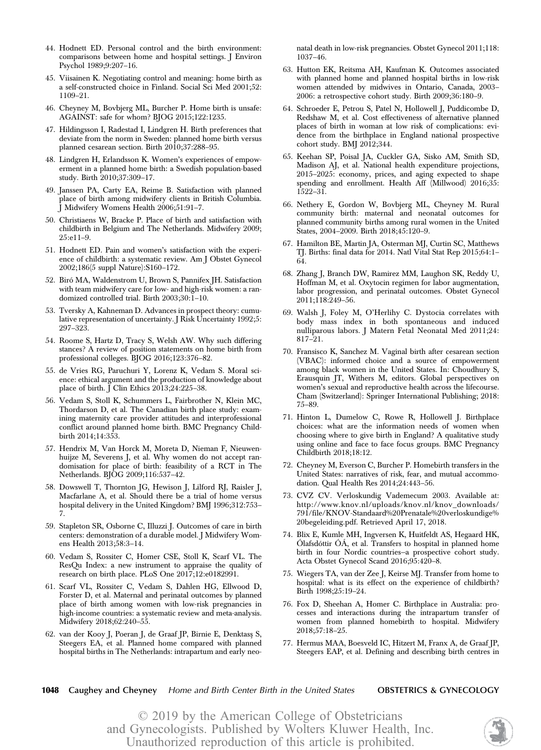- 44. Hodnett ED. Personal control and the birth environment: comparisons between home and hospital settings. J Environ Psychol 1989;9:207–16.
- 45. Viisainen K. Negotiating control and meaning: home birth as a self-constructed choice in Finland. Social Sci Med 2001;52: 1109–21.
- 46. Cheyney M, Bovbjerg ML, Burcher P. Home birth is unsafe: AGAINST: safe for whom? BJOG 2015;122:1235.
- 47. Hildingsson I, Radestad I, Lindgren H. Birth preferences that deviate from the norm in Sweden: planned home birth versus planned cesarean section. Birth 2010;37:288–95.
- 48. Lindgren H, Erlandsson K. Women's experiences of empowerment in a planned home birth: a Swedish population-based study. Birth 2010;37:309–17.
- 49. Janssen PA, Carty EA, Reime B. Satisfaction with planned place of birth among midwifery clients in British Columbia. J Midwifery Womens Health 2006;51:91–7.
- 50. Christiaens W, Bracke P. Place of birth and satisfaction with childbirth in Belgium and The Netherlands. Midwifery 2009; 25:e11–9.
- 51. Hodnett ED. Pain and women's satisfaction with the experience of childbirth: a systematic review. Am J Obstet Gynecol 2002;186(5 suppl Nature):S160–172.
- 52. Biró MA, Waldenstrom U, Brown S, Pannifex JH. Satisfaction with team midwifery care for low- and high-risk women: a randomized controlled trial. Birth 2003;30:1–10.
- 53. Tversky A, Kahneman D. Advances in prospect theory: cumulative representation of uncertainty. J Risk Uncertainty 1992;5: 297–323.
- 54. Roome S, Hartz D, Tracy S, Welsh AW. Why such differing stances? A review of position statements on home birth from professional colleges. BJOG 2016;123:376–82.
- 55. de Vries RG, Paruchuri Y, Lorenz K, Vedam S. Moral science: ethical argument and the production of knowledge about place of birth. J Clin Ethics 2013;24:225–38.
- 56. Vedam S, Stoll K, Schummers L, Fairbrother N, Klein MC, Thordarson D, et al. The Canadian birth place study: examining maternity care provider attitudes and interprofessional conflict around planned home birth. BMC Pregnancy Childbirth 2014;14:353.
- 57. Hendrix M, Van Horck M, Moreta D, Nieman F, Nieuwenhuijze M, Severens J, et al. Why women do not accept randomisation for place of birth: feasibility of a RCT in The Netherlands. BJOG 2009;116:537–42.
- 58. Dowswell T, Thornton JG, Hewison J, Lilford RJ, Raisler J, Macfarlane A, et al. Should there be a trial of home versus hospital delivery in the United Kingdom? BMJ 1996;312:753– 7.
- 59. Stapleton SR, Osborne C, Illuzzi J. Outcomes of care in birth centers: demonstration of a durable model. J Midwifery Womens Health 2013;58:3–14.
- 60. Vedam S, Rossiter C, Homer CSE, Stoll K, Scarf VL. The ResQu Index: a new instrument to appraise the quality of research on birth place. PLoS One 2017;12:e0182991.
- 61. Scarf VL, Rossiter C, Vedam S, Dahlen HG, Ellwood D, Forster D, et al. Maternal and perinatal outcomes by planned place of birth among women with low-risk pregnancies in high-income countries: a systematic review and meta-analysis. Midwifery 2018;62:240–55.
- 62. van der Kooy J, Poeran J, de Graaf JP, Birnie E, Denktass¸ S, Steegers EA, et al. Planned home compared with planned hospital births in The Netherlands: intrapartum and early neo-

natal death in low-risk pregnancies. Obstet Gynecol 2011;118: 1037–46.

- 63. Hutton EK, Reitsma AH, Kaufman K. Outcomes associated with planned home and planned hospital births in low-risk women attended by midwives in Ontario, Canada, 2003– 2006: a retrospective cohort study. Birth 2009;36:180–9.
- 64. Schroeder E, Petrou S, Patel N, Hollowell J, Puddicombe D, Redshaw M, et al. Cost effectiveness of alternative planned places of birth in woman at low risk of complications: evidence from the birthplace in England national prospective cohort study. BMJ 2012;344.
- 65. Keehan SP, Poisal JA, Cuckler GA, Sisko AM, Smith SD, Madison AJ, et al. National health expenditure projections, 2015–2025: economy, prices, and aging expected to shape spending and enrollment. Health Aff (Millwood) 2016;35: 1522–31.
- 66. Nethery E, Gordon W, Bovbjerg ML, Cheyney M. Rural community birth: maternal and neonatal outcomes for planned community births among rural women in the United States, 2004–2009. Birth 2018;45:120–9.
- 67. Hamilton BE, Martin JA, Osterman MJ, Curtin SC, Matthews TJ. Births: final data for 2014. Natl Vital Stat Rep 2015;64:1– 64.
- 68. Zhang J, Branch DW, Ramirez MM, Laughon SK, Reddy U, Hoffman M, et al. Oxytocin regimen for labor augmentation, labor progression, and perinatal outcomes. Obstet Gynecol 2011;118:249–56.
- 69. Walsh J, Foley M, O'Herlihy C. Dystocia correlates with body mass index in both spontaneous and induced nulliparous labors. J Matern Fetal Neonatal Med 2011;24: 817–21.
- 70. Fransisco K, Sanchez M. Vaginal birth after cesarean section (VBAC): informed choice and a source of empowerment among black women in the United States. In: Choudhury S, Erausquin JT, Withers M, editors. Global perspectives on women's sexual and reproductive health across the lifecourse. Cham (Switzerland): Springer International Publishing; 2018: 75–89.
- 71. Hinton L, Dumelow C, Rowe R, Hollowell J. Birthplace choices: what are the information needs of women when choosing where to give birth in England? A qualitative study using online and face to face focus groups. BMC Pregnancy Childbirth 2018;18:12.
- 72. Cheyney M, Everson C, Burcher P. Homebirth transfers in the United States: narratives of risk, fear, and mutual accommodation. Qual Health Res 2014;24:443–56.
- 73. CVZ CV. Verloskundig Vademecum 2003. Available at: [http://www.knov.nl/uploads/knov.nl/knov\\_downloads/](http://www.knov.nl/uploads/knov.nl/knov_downloads/791/file/KNOV-Standaard%20Prenatale%20verloskundige%20begeleiding.pdf) [791/file/KNOV-Standaard%20Prenatale%20verloskundige%](http://www.knov.nl/uploads/knov.nl/knov_downloads/791/file/KNOV-Standaard%20Prenatale%20verloskundige%20begeleiding.pdf) [20begeleiding.pdf](http://www.knov.nl/uploads/knov.nl/knov_downloads/791/file/KNOV-Standaard%20Prenatale%20verloskundige%20begeleiding.pdf). Retrieved April 17, 2018.
- 74. Blix E, Kumle MH, Ingversen K, Huitfeldt AS, Hegaard HK, Ólafsdóttir ÓÁ, et al. Transfers to hospital in planned home birth in four Nordic countries—a prospective cohort study. Acta Obstet Gynecol Scand 2016;95:420–8.
- 75. Wiegers TA, van der Zee J, Keirse MJ. Transfer from home to hospital: what is its effect on the experience of childbirth? Birth 1998;25:19–24.
- 76. Fox D, Sheehan A, Homer C. Birthplace in Australia: processes and interactions during the intrapartum transfer of women from planned homebirth to hospital. Midwifery 2018;57:18–25.
- 77. Hermus MAA, Boesveld IC, Hitzert M, Franx A, de Graaf JP, Steegers EAP, et al. Defining and describing birth centres in

#### 1048 Caughey and Cheyney Home and Birth Center Birth in the United States **OBSTETRICS & GYNECOLOGY**

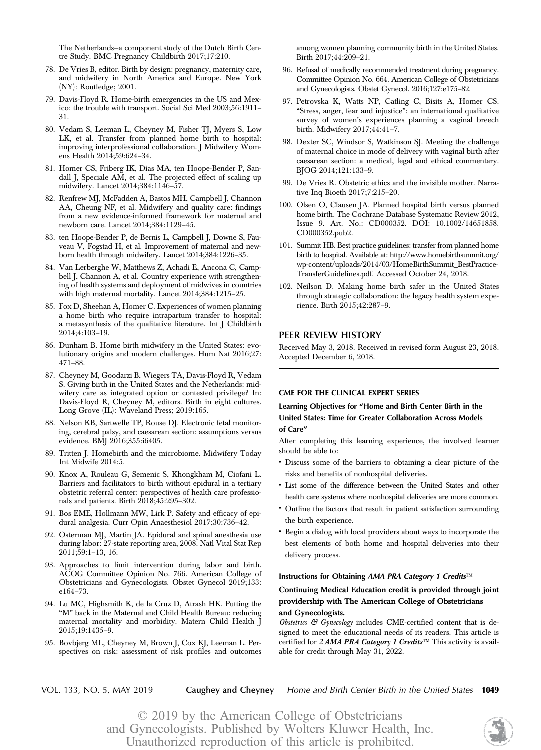The Netherlands—a component study of the Dutch Birth Centre Study. BMC Pregnancy Childbirth 2017;17:210.

- 78. De Vries B, editor. Birth by design: pregnancy, maternity care, and midwifery in North America and Europe. New York (NY): Routledge; 2001.
- 79. Davis-Floyd R. Home-birth emergencies in the US and Mexico: the trouble with transport. Social Sci Med 2003;56:1911– 31.
- 80. Vedam S, Leeman L, Cheyney M, Fisher TJ, Myers S, Low LK, et al. Transfer from planned home birth to hospital: improving interprofessional collaboration. J Midwifery Womens Health 2014;59:624–34.
- 81. Homer CS, Friberg IK, Dias MA, ten Hoope-Bender P, Sandall J, Speciale AM, et al. The projected effect of scaling up midwifery. Lancet 2014;384:1146–57.
- 82. Renfrew MJ, McFadden A, Bastos MH, Campbell J, Channon AA, Cheung NF, et al. Midwifery and quality care: findings from a new evidence-informed framework for maternal and newborn care. Lancet 2014;384:1129–45.
- 83. ten Hoope-Bender P, de Bernis L, Campbell J, Downe S, Fauveau V, Fogstad H, et al. Improvement of maternal and newborn health through midwifery. Lancet 2014;384:1226–35.
- 84. Van Lerberghe W, Matthews Z, Achadi E, Ancona C, Campbell J, Channon A, et al. Country experience with strengthening of health systems and deployment of midwives in countries with high maternal mortality. Lancet 2014;384:1215–25.
- 85. Fox D, Sheehan A, Homer C. Experiences of women planning a home birth who require intrapartum transfer to hospital: a metasynthesis of the qualitative literature. Int J Childbirth 2014;4:103–19.
- 86. Dunham B. Home birth midwifery in the United States: evolutionary origins and modern challenges. Hum Nat 2016;27: 471–88.
- 87. Cheyney M, Goodarzi B, Wiegers TA, Davis-Floyd R, Vedam S. Giving birth in the United States and the Netherlands: midwifery care as integrated option or contested privilege? In: Davis-Floyd R, Cheyney M, editors. Birth in eight cultures. Long Grove (IL): Waveland Press; 2019:165.
- 88. Nelson KB, Sartwelle TP, Rouse DJ. Electronic fetal monitoring, cerebral palsy, and caesarean section: assumptions versus evidence. BMJ 2016;355:i6405.
- 89. Tritten J. Homebirth and the microbiome. Midwifery Today Int Midwife 2014:5.
- 90. Knox A, Rouleau G, Semenic S, Khongkham M, Ciofani L. Barriers and facilitators to birth without epidural in a tertiary obstetric referral center: perspectives of health care professionals and patients. Birth 2018;45:295–302.
- 91. Bos EME, Hollmann MW, Lirk P. Safety and efficacy of epidural analgesia. Curr Opin Anaesthesiol 2017;30:736–42.
- 92. Osterman MJ, Martin JA. Epidural and spinal anesthesia use during labor: 27-state reporting area, 2008. Natl Vital Stat Rep 2011;59:1–13, 16.
- 93. Approaches to limit intervention during labor and birth. ACOG Committee Opinion No. 766. American College of Obstetricians and Gynecologists. Obstet Gynecol 2019;133: e164–73.
- 94. Lu MC, Highsmith K, de la Cruz D, Atrash HK. Putting the "M" back in the Maternal and Child Health Bureau: reducing maternal mortality and morbidity. Matern Child Health J 2015;19:1435–9.
- 95. Bovbjerg ML, Cheyney M, Brown J, Cox KJ, Leeman L. Perspectives on risk: assessment of risk profiles and outcomes

among women planning community birth in the United States. Birth 2017;44:209–21.

- 96. Refusal of medically recommended treatment during pregnancy. Committee Opinion No. 664. American College of Obstetricians and Gynecologists. Obstet Gynecol. 2016;127:e175–82.
- 97. Petrovska K, Watts NP, Catling C, Bisits A, Homer CS. "Stress, anger, fear and injustice": an international qualitative survey of women's experiences planning a vaginal breech birth. Midwifery 2017;44:41–7.
- 98. Dexter SC, Windsor S, Watkinson SJ. Meeting the challenge of maternal choice in mode of delivery with vaginal birth after caesarean section: a medical, legal and ethical commentary. BJOG 2014;121:133–9.
- 99. De Vries R. Obstetric ethics and the invisible mother. Narrative Inq Bioeth 2017;7:215–20.
- 100. Olsen O, Clausen JA. Planned hospital birth versus planned home birth. The Cochrane Database Systematic Review 2012, Issue 9. Art. No.: CD000352. DOI: 10.1002/14651858. CD000352.pub2.
- 101. Summit HB. Best practice guidelines: transfer from planned home birth to hospital. Available at: [http://www.homebirthsummit.org/](http://www.homebirthsummit.org/wp-content/uploads/2014/03/HomeBirthSummit_BestPracticeTransferGuidelines.pdf) [wp-content/uploads/2014/03/HomeBirthSummit\\_BestPractice-](http://www.homebirthsummit.org/wp-content/uploads/2014/03/HomeBirthSummit_BestPracticeTransferGuidelines.pdf)[TransferGuidelines.pdf](http://www.homebirthsummit.org/wp-content/uploads/2014/03/HomeBirthSummit_BestPracticeTransferGuidelines.pdf). Accessed October 24, 2018.
- 102. Neilson D. Making home birth safer in the United States through strategic collaboration: the legacy health system experience. Birth 2015;42:287–9.

#### PEER REVIEW HISTORY

Received May 3, 2018. Received in revised form August 23, 2018. Accepted December 6, 2018.

#### CME FOR THE CLINICAL EXPERT SERIES

#### Learning Objectives for "Home and Birth Center Birth in the United States: Time for Greater Collaboration Across Models of Care"

After completing this learning experience, the involved learner should be able to:

- Discuss some of the barriers to obtaining a clear picture of the risks and benefits of nonhospital deliveries.
- List some of the difference between the United States and other health care systems where nonhospital deliveries are more common.
- Outline the factors that result in patient satisfaction surrounding the birth experience.
- Begin a dialog with local providers about ways to incorporate the best elements of both home and hospital deliveries into their delivery process.

#### Instructions for Obtaining AMA PRA Category 1 Credits<sup>™</sup>

#### Continuing Medical Education credit is provided through joint providership with The American College of Obstetricians and Gynecologists.

Obstetrics & Gynecology includes CME-certified content that is designed to meet the educational needs of its readers. This article is certified for  $2AMA$  PRA Category 1 Credits<sup>TM</sup> This activity is available for credit through May 31, 2022.

VOL. 133, NO. 5, MAY 2019 **Caughey and Cheyney** Home and Birth Center Birth in the United States 1049